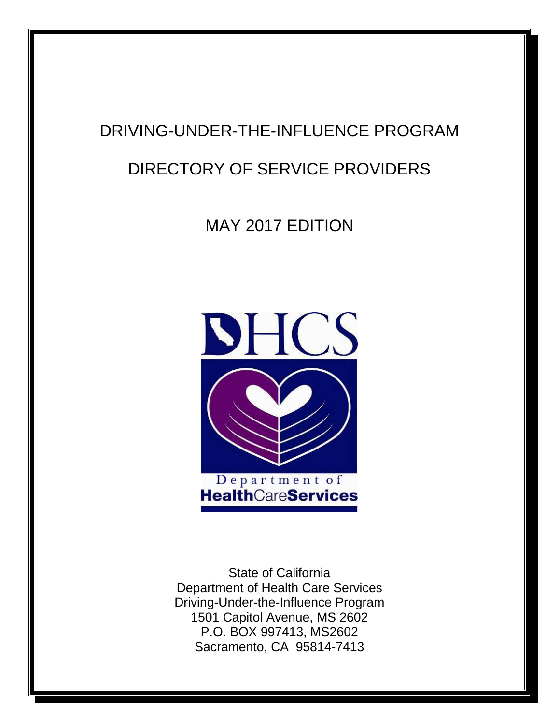# DRIVING-UNDER-THE-INFLUENCE PROGRAM

## DIRECTORY OF SERVICE PROVIDERS

MAY 2017 EDITION



State of California Department of Health Care Services Driving-Under-the-Influence Program 1501 Capitol Avenue, MS 2602 P.O. BOX 997413, MS2602 Sacramento, CA 95814-7413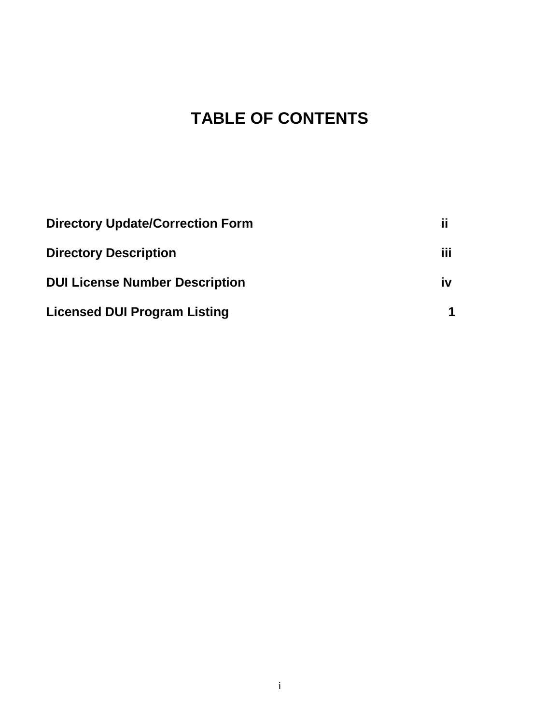# **TABLE OF CONTENTS**

| <b>Directory Update/Correction Form</b> | ij  |
|-----------------------------------------|-----|
| <b>Directory Description</b>            | iii |
| <b>DUI License Number Description</b>   | iv  |
| <b>Licensed DUI Program Listing</b>     |     |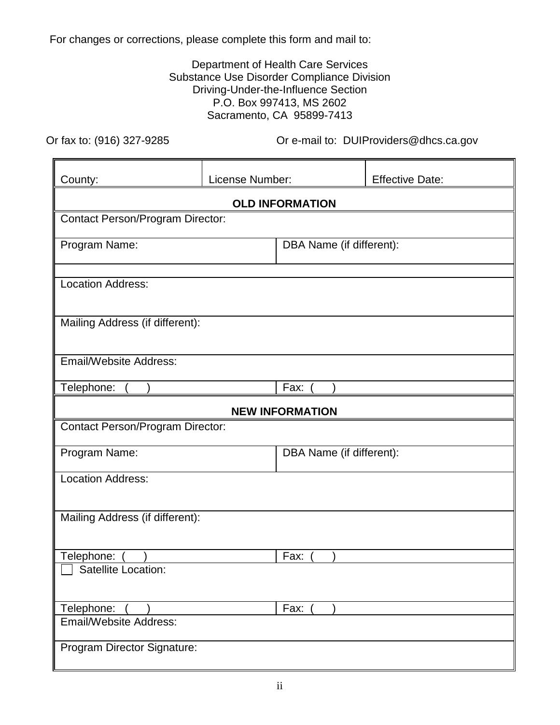<span id="page-2-0"></span>For changes or corrections, please complete this form and mail to:

#### Department of Health Care Services Substance Use Disorder Compliance Division Driving-Under-the-Influence Section P.O. Box 997413, MS 2602 Sacramento, CA 95899-7413

Or fax to: (916) 327-9285

Or e-mail to: DUIProviders@dhcs.ca.gov

| County:                                 | License Number: |                          | <b>Effective Date:</b> |
|-----------------------------------------|-----------------|--------------------------|------------------------|
|                                         |                 | <b>OLD INFORMATION</b>   |                        |
| <b>Contact Person/Program Director:</b> |                 |                          |                        |
| Program Name:                           |                 | DBA Name (if different): |                        |
| <b>Location Address:</b>                |                 |                          |                        |
| Mailing Address (if different):         |                 |                          |                        |
| <b>Email/Website Address:</b>           |                 |                          |                        |
| Telephone:                              |                 | Fax:                     |                        |
|                                         |                 | <b>NEW INFORMATION</b>   |                        |
| <b>Contact Person/Program Director:</b> |                 |                          |                        |
| Program Name:                           |                 | DBA Name (if different): |                        |
| <b>Location Address:</b>                |                 |                          |                        |
| Mailing Address (if different):         |                 |                          |                        |
| Telephone:                              |                 | Fax:                     |                        |
| <b>Satellite Location:</b>              |                 |                          |                        |
| Telephone:                              | Fax:            |                          |                        |
| <b>Email/Website Address:</b>           |                 |                          |                        |
| Program Director Signature:             |                 |                          |                        |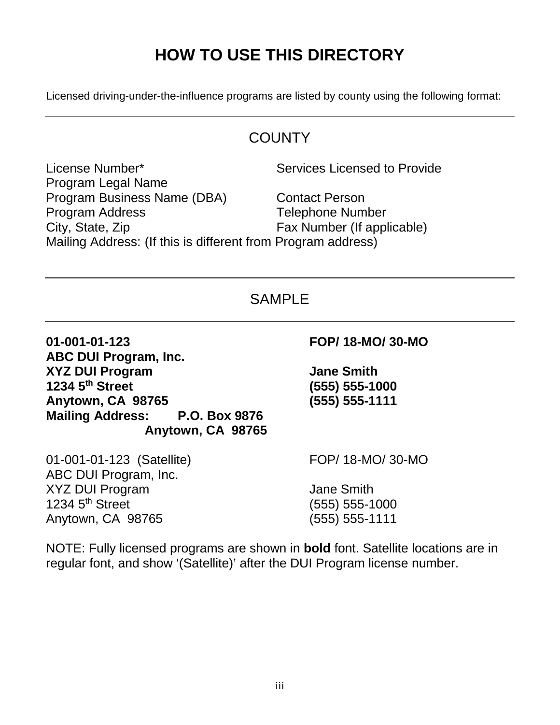# **HOW TO USE THIS DIRECTORY**

<span id="page-3-0"></span>Licensed driving-under-the-influence programs are listed by county using the following format:

## **COUNTY**

 Program Legal Name Program Business Name (DBA) Contact Person **Program Address** License Number\* Services Licensed to Provide **Telephone Number** City, State, Zip Fax Number (If applicable) Mailing Address: (If this is different from Program address)

## SAMPI<sub>F</sub>

01-001-01-123  **ABC DUI Program, Inc. XYZ DUI Program Jane Smith**  1234 5<sup>th</sup> Street  **Anytown, CA 98765 (555) 555-1111 Mailing Address: P.O. Box 9876 Anytown, CA 98765** 

 01-001-01-123 (Satellite) FOP/ 18-MO/ 30-MO ABC DUI Program, Inc. XYZ DUI Program and the state of the Smith 1234  $5<sup>th</sup>$  Street Anytown, CA 98765 (555) 555-1111

**01-001-01-123 FOP/ 18-MO/ 30-MO** 

**1234 5th Street (555) 555-1000** 

(555) 555-1000

 NOTE: Fully licensed programs are shown in **bold** font. Satellite locations are in regular font, and show '(Satellite)' after the DUI Program license number.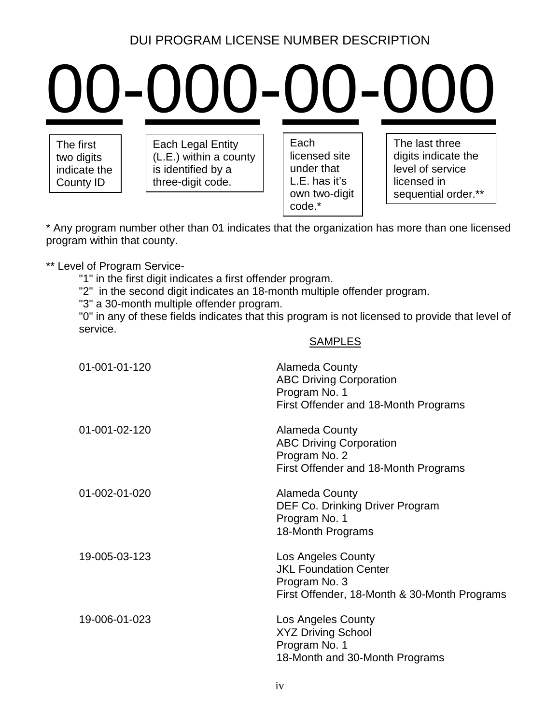## DUI PROGRAM LICENSE NUMBER DESCRIPTION

# <span id="page-4-0"></span>00-000-00-000

County ID  $\vert$  three-digit code.  $\vert$   $\vert$  L.E. has it's  $\vert$  licensed in The first  $\begin{array}{|c|c|c|c|c|c|}\n\hline\n\text{Each} & \text{Each } \text{Length} & \text{Each} \\
\hline\n\text{(L.E.) within a country} & \text{licensed site} & \text{digits indicate the}\n\end{array}$ two digits (L.E.) within a county licensed site digits indicate the indicate the is identified by a under that level of service

code.\*

own two-digit  $\vert$  | sequential order.\*\*

program within that county. \* Any program number other than 01 indicates that the organization has more than one licensed

\*\* Level of Program Service-

"1" in the first digit indicates a first offender program.

"2" in the second digit indicates an 18-month multiple offender program.

"3" a 30-month multiple offender program.

"0" in any of these fields indicates that this program is not licensed to provide that level of service.

SAMPLES

| 01-001-01-120 | <b>Alameda County</b><br><b>ABC Driving Corporation</b><br>Program No. 1<br>First Offender and 18-Month Programs    |
|---------------|---------------------------------------------------------------------------------------------------------------------|
| 01-001-02-120 | <b>Alameda County</b><br><b>ABC Driving Corporation</b><br>Program No. 2<br>First Offender and 18-Month Programs    |
| 01-002-01-020 | Alameda County<br>DEF Co. Drinking Driver Program<br>Program No. 1<br>18-Month Programs                             |
| 19-005-03-123 | Los Angeles County<br><b>JKL Foundation Center</b><br>Program No. 3<br>First Offender, 18-Month & 30-Month Programs |
| 19-006-01-023 | Los Angeles County<br><b>XYZ Driving School</b><br>Program No. 1<br>18-Month and 30-Month Programs                  |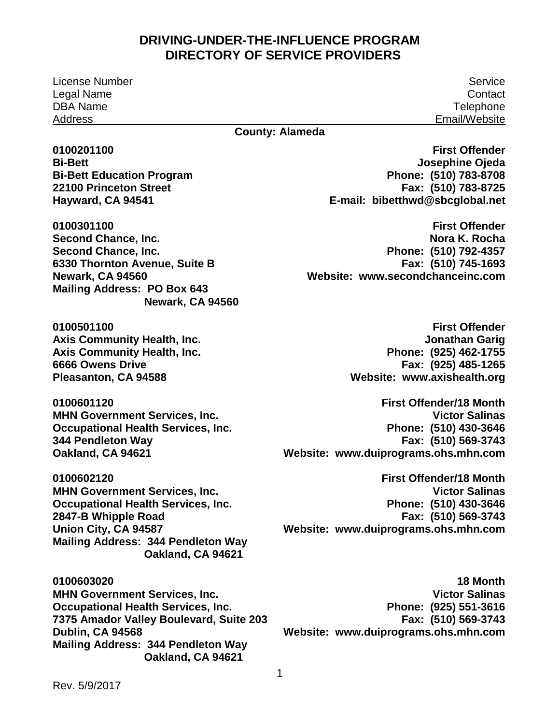License Number Service Legal Name DBA Name Address

**Contact Telephone** Email/Website

#### **County: Alameda**

**Bi-Bett Second Chance, Inc. Second Chance, Inc. Newark, CA 94560 Mailing Address: PO Box 643 0100201100**  Bi-Bett<br>Bi-Bett Education Program<br>22100 Princeton Street **Hayward, CA 94541 0100301100**  Second Chance, Inc.<br>Second Chance, Inc.<br>6330 Thornton Avenue, Suite B<br>Newark, CA 94560<br>Mailing Address: PO Box 643 **Newark, CA 94560 0100501100** 

**Axis Community Health, Inc. Axis Community Health, Inc. 6666 Owens Drive Pleasanton, CA 94588** 

**MHN Government Services, Inc. Oakland, CA 94621 0100601120**  MHN Government Services, Inc.<br>Occupational Health Services, Inc.<br>344 Pendleton Way

**MHN Government Services, Inc. Occupational Health Services, Inc.** 2847-B Whipple Road **Union City, CA 94587** MHN Government Services, Inc.<br>Occupational Health Services, Inc.<br>2847-B Whipple Road<br>Union City, CA 94587<br>Mailing Address: 344 Pendleton Way **0100602120 Oakland, CA 94621** 

**MHN Government Services, Inc. Occupational Health Services, Inc.** Dublin, CA 94568  **Dublin, CA 94568 Mailing Address: 344 Pendleton Way 0100603020 7375 Amador Valley Boulevard, Suite 203 Oakland, CA 94621** 

 **E-mail: [bibetthwd@sbcglobal.net](mailto:bibetthwd@sbcglobal.net)  First Offender Josephine Ojeda Phone: (510) 783-8708 Fax: (510) 783-8725** 

 **Phone: (510) 792-4357 Website: www.secondchanceinc.com First Offender Nora K. Rocha Fax: (510) 745-1693** 

 **Phone: (925) 462-1755 Website: [www.axishealth.org](http://www.axishealth.org/)  Axis Community Health, Inc. Axis Community Health, Inc. 6666 Owens Drive Pleasanton, CA 94588 First Offender Jonathan Garig Fax: (925) 485-1265** 

 **Website: [www.duiprograms.ohs.mhn.com](http://www.duiprograms.ohs.mhn.com/)  Oakland, CA 94621 First Offender/18 Month Victor Salinas Phone: (510) 430-3646 Fax: (510) 569-3743** 

> **Phone: (510) 430-3646 Website: [www.duiprograms.ohs.mhn.com](http://www.duiprograms.ohs.mhn.com/)  First Offender/18 Month Victor Salinas Fax: (510) 569-3743**

> **Phone: (925) 551-3616 Website: [www.duiprograms.ohs.mhn.com](http://www.duiprograms.ohs.mhn.com/)  18 Month Victor Salinas Fax: (510) 569-3743**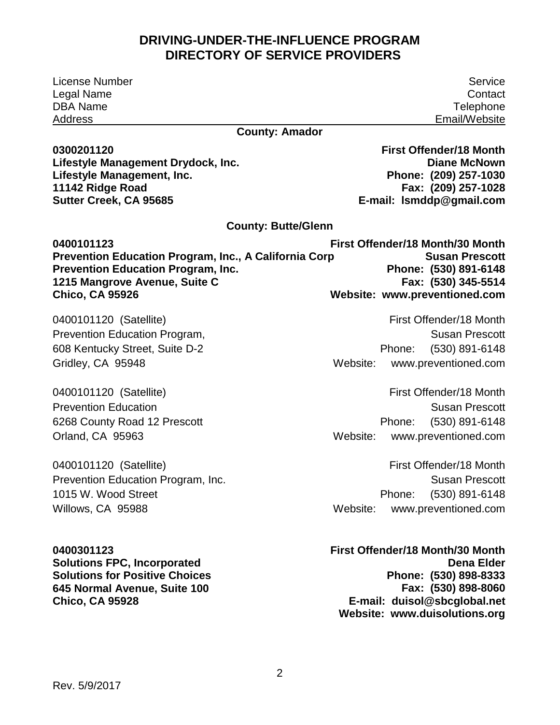License Number Legal Name DBA Name Address

**County: Amador** 

**0300201120 Lifestyle Management Drydock, Inc. Lifestyle Management, Inc. 11142 Ridge Road Sutter Creek, CA 95685** 

Service **Contact Telephone** Email/Website

**First Offender/18 Month Diane McNown Phone: (209) 257-1030 Fax: (209) 257-1028 E-mail: [lsmddp@gmail.com](mailto:lsmddp@gmail.com)** 

**County: Butte/Glenn** 

| 0400101123                                                   | First Offender/18 Month/30 Month |
|--------------------------------------------------------------|----------------------------------|
| <b>Prevention Education Program, Inc., A California Corp</b> | <b>Susan Prescott</b>            |
| <b>Prevention Education Program, Inc.</b>                    | Phone: (530) 891-6148            |
| 1215 Mangrove Avenue, Suite C                                | Fax: (530) 345-5514              |
| <b>Chico, CA 95926</b>                                       | Website: www.preventioned.com    |

0400101120 (Satellite) Prevention Education Program, 608 Kentucky Street, Suite D-2 Gridley, CA 95948

0400101120 (Satellite) Prevention Education 6268 County Road 12 Prescott Orland, CA 95963

0400101120 (Satellite) Prevention Education Program, Inc. 1015 W. Wood Street Willows, CA 95988

**0400301123 Solutions FPC, Incorporated Solutions for Positive Choices 645 Normal Avenue, Suite 100 Chico, CA 95928** 

First Offender/18 Month

Susan Prescott Phone: (530) 891-6148 Website: [www.preventioned.com](http://www.preventioned.com/) 

First Offender/18 Month Susan Prescott Phone: (530) 891-6148 Website: [www.preventioned.com](http://www.preventioned.com/) 

First Offender/18 Month Susan Prescott Phone: (530) 891-6148 Website: [www.preventioned.com](http://www.preventioned.com/) 

**First Offender/18 Month/30 Month Dena Elder Phone: (530) 898-8333 Fax: (530) 898-8060 E-mail: duisol@sbcglobal.net Website: [www.duisolutions.org](http://www.duisolutions.org/)**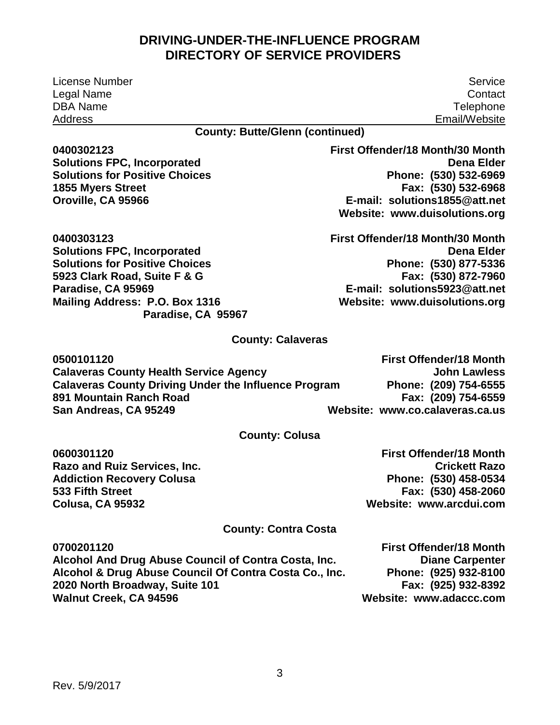Rev. 5/9/2017

<span id="page-7-0"></span>License Number Legal Name DBA Name Address

Service **Contact Telephone** Email/Website

#### **County: Butte/Glenn (continued)**

**0400302123 Solutions FPC, Incorporated Solutions for Positive Choices 1855 Myers Street Oroville, CA 95966** 

**0400303123 Solutions FPC, Incorporated Solutions for Positive Choices 5923 Clark Road, Suite F & G Paradise, CA 95969 Mailing Address: P.O. Box 1316 Paradise, CA 95967** 

#### **First Offender/18 Month/30 Month Dena Elder Phone: (530) 532-6969 Fax: (530) 532-6968 E-mail: solutions1855@att.net Website: [www.duisolutions.org](http://www.duisolutions.org/)**

**First Offender/18 Month/30 Month Dena Elder Phone: (530) 877-5336 Fax: (530) 872-7960 E-mail: solutions5923@att.net Website: [www.duisolutions.org](http://www.duisolutions.org/)** 

#### **County: Calaveras**

| 0500101120                                                  | <b>First Offender/18 Month</b>  |
|-------------------------------------------------------------|---------------------------------|
| <b>Calaveras County Health Service Agency</b>               | John Lawless                    |
| <b>Calaveras County Driving Under the Influence Program</b> | Phone: (209) 754-6555           |
| 891 Mountain Ranch Road                                     | Fax: (209) 754-6559             |
| San Andreas, CA 95249                                       | Website: www.co.calaveras.ca.us |

#### **County: Colusa**

**0600301120 Razo and Ruiz Services, Inc. Addiction Recovery Colusa 533 Fifth Street Colusa, CA 95932** 

**First Offender/18 Month Crickett Razo Phone: (530) 458-0534 Fax: (530) 458-2060 Website: [www.arcdui.com](http://www.arcdui.com/)** 

#### **County: Contra Costa**

**0700201120 Alcohol And Drug Abuse Council of Contra Costa, Inc. Alcohol & Drug Abuse Council Of Contra Costa Co., Inc. 2020 North Broadway, Suite 101 Walnut Creek, CA 94596 First Offender/18 Month Diane Carpenter Phone: (925) 932-8100 Fax: (925) 932-8392 Website: [www.adaccc.com](http://www.adaccc.com/)**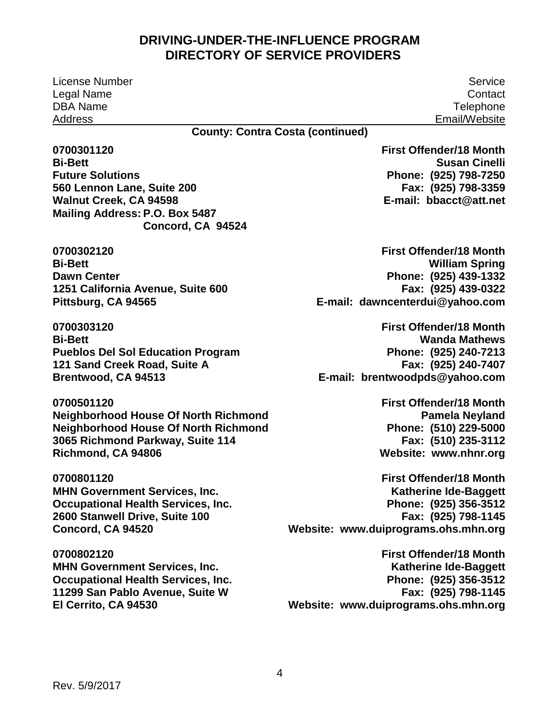License Number Service Legal Name DBA Name Address

**Contact Telephone** Email/Website

**County: Contra Costa (continued)** 

**Bi-Bett** 560 Lennon Lane, Suite 200 **0700301120 Future Solutions Walnut Creek, CA 94598 Mailing Address: P.O. Box 5487 Concord, CA 94524** 

**Bi-Bett Dawn Center 0700302120**  Bi-Bett<br>Dawn Center<br>1251 California Avenue, Suite 600<br>Pittsburg, CA 94565

**Bi-Bett 121 Sand Creek Road, Suite A 0700303120**  Bi-Bett<br>Pueblos Del Sol Education Program<br>121 Sand Creek Road, Suite A<br>Brentwood, CA 94513

**0700501120 Neighborhood House Of North Richmond Neighborhood House Of North Richmond 3065 Richmond Parkway, Suite 114 Richmond, CA 94806** 

**0700801120 MHN Government Services, Inc. Occupational Health Services, Inc. 2600 Stanwell Drive, Suite 100 Concord, CA 94520** 

**0700802120 MHN Government Services, Inc. Occupational Health Services, Inc. 11299 San Pablo Avenue, Suite W El Cerrito, CA 94530** 

 **Phone: (925) 798-7250 Fax: (925) 798-3359 E-mail: bbacct@att.net First Offender/18 Month Susan Cinelli** 

 **Phone: (925) 439-1332 E-mail: [dawncenterdui@yahoo.com](mailto:dawncenterdui@yahoo.com)  First Offender/18 Month William Spring Fax: (925) 439-0322** 

 **Phone: (925) 240-7213 E-mail: [brentwoodpds@yahoo.com](mailto:brentwoodpds@yahoo.com)  First Offender/18 Month Wanda Mathews Fax: (925) 240-7407** 

> **Phone: (510) 229-5000 Website: www.nhnr.org First Offender/18 Month Pamela Neyland Fax: (510) 235-3112**

 **Phone: (925) 356-3512 Website: www.duiprograms.ohs.mhn.org First Offender/18 Month Katherine Ide-Baggett Fax: (925) 798-1145** 

 **Phone: (925) 356-3512 Fax: (925) 798-1145 Website: www.duiprograms.ohs.mhn.org First Offender/18 Month Katherine Ide-Baggett**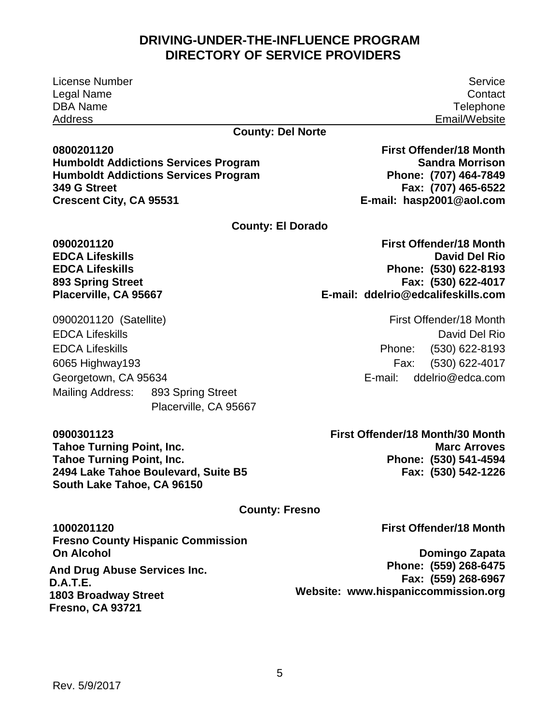License Number Service Legal Name DBA Name Address

**County: Del Norte** 

**0800201120 Humboldt Addictions Services Program Humboldt Addictions Services Program 349 G Street Crescent City, CA 95531** 

**County: El Dorado** 

**0900201120 EDCA Lifeskills EDCA Lifeskills 893 Spring Street Placerville, CA 95667** 

0900201120 (Satellite) EDCA Lifeskills EDCA Lifeskills 6065 Highway193 Georgetown, CA 95634 Mailing Address: 893 Spring Street Placerville, CA 95667

**0900301123 Tahoe Turning Point, Inc. Tahoe Turning Point, Inc. 2494 Lake Tahoe Boulevard, Suite B5 South Lake Tahoe, CA 96150** 

**First Offender/18 Month/30 Month Marc Arroves Phone: (530) 541-4594 Fax: (530) 542-1226** 

#### **County: Fresno**

**1000201120 Fresno County Hispanic Commission On Alcohol** 

**And Drug Abuse Services Inc. D.A.T.E. 1803 Broadway Street Fresno, CA 93721** 

Rev. 5/9/2017

5

**First Offender/18 Month** 

**Domingo Zapata Phone: (559) 268-6475 Fax: (559) 268-6967 Website: www.hispaniccommission.org** 

**First Offender/18 Month Sandra Morrison Phone: (707) 464-7849 Fax: (707) 465-6522 E-mail: hasp2001@aol.com** 

**First Offender/18 Month David Del Rio Phone: (530) 622-8193 Fax: (530) 622-4017 E-mail: ddelrio@edcalifeskills.com** 

> First Offender/18 Month David Del Rio Phone: (530) 622-8193 Fax: (530) 622-4017 E-mail: [ddelrio@edca.com](mailto:ddelrio@edca.com)

**Contact Telephone** Email/Website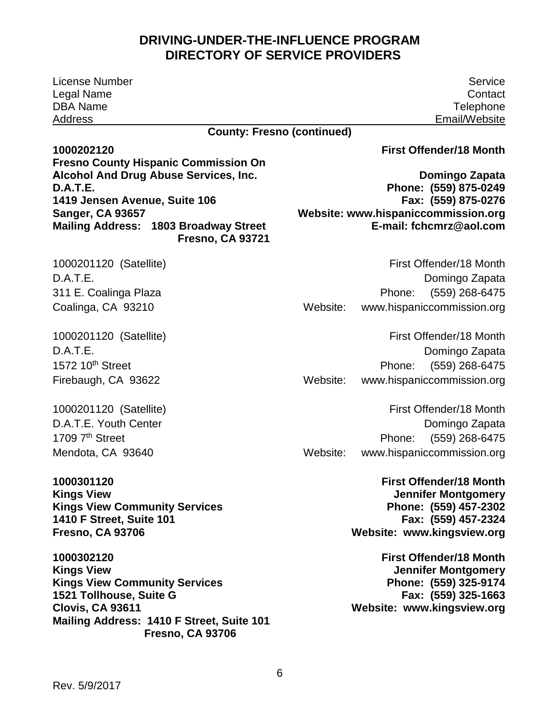| <b>License Number</b>                                                                                                                                                                                 | Service                                                                                                                                    |
|-------------------------------------------------------------------------------------------------------------------------------------------------------------------------------------------------------|--------------------------------------------------------------------------------------------------------------------------------------------|
| Legal Name                                                                                                                                                                                            | Contact                                                                                                                                    |
| <b>DBA Name</b>                                                                                                                                                                                       | Telephone                                                                                                                                  |
| <b>Address</b><br><b>County: Fresno (continued)</b>                                                                                                                                                   | Email/Website                                                                                                                              |
|                                                                                                                                                                                                       |                                                                                                                                            |
| 1000202120                                                                                                                                                                                            | <b>First Offender/18 Month</b>                                                                                                             |
| <b>Fresno County Hispanic Commission On</b>                                                                                                                                                           |                                                                                                                                            |
| <b>Alcohol And Drug Abuse Services, Inc.</b><br>D.A.T.E.                                                                                                                                              | Domingo Zapata<br>Phone: (559) 875-0249                                                                                                    |
| 1419 Jensen Avenue, Suite 106                                                                                                                                                                         | Fax: (559) 875-0276                                                                                                                        |
| <b>Sanger, CA 93657</b>                                                                                                                                                                               | Website: www.hispaniccommission.org                                                                                                        |
| <b>Mailing Address: 1803 Broadway Street</b><br><b>Fresno, CA 93721</b>                                                                                                                               | E-mail: fchcmrz@aol.com                                                                                                                    |
| 1000201120 (Satellite)                                                                                                                                                                                | First Offender/18 Month                                                                                                                    |
| D.A.T.E.                                                                                                                                                                                              | Domingo Zapata                                                                                                                             |
| 311 E. Coalinga Plaza                                                                                                                                                                                 | (559) 268-6475<br>Phone:                                                                                                                   |
| Coalinga, CA 93210                                                                                                                                                                                    | www.hispaniccommission.org<br>Website:                                                                                                     |
| 1000201120 (Satellite)                                                                                                                                                                                | First Offender/18 Month                                                                                                                    |
| D.A.T.E.                                                                                                                                                                                              | Domingo Zapata                                                                                                                             |
| 1572 10 <sup>th</sup> Street                                                                                                                                                                          | (559) 268-6475<br>Phone:                                                                                                                   |
| Firebaugh, CA 93622                                                                                                                                                                                   | Website:<br>www.hispaniccommission.org                                                                                                     |
| 1000201120 (Satellite)                                                                                                                                                                                | First Offender/18 Month                                                                                                                    |
| D.A.T.E. Youth Center                                                                                                                                                                                 | Domingo Zapata                                                                                                                             |
| 1709 7th Street                                                                                                                                                                                       | (559) 268-6475<br>Phone:                                                                                                                   |
| Mendota, CA 93640                                                                                                                                                                                     | Website:<br>www.hispaniccommission.org                                                                                                     |
| 1000301120<br><b>Kings View</b><br><b>Kings View Community Services</b><br>1410 F Street, Suite 101<br><b>Fresno, CA 93706</b>                                                                        | <b>First Offender/18 Month</b><br><b>Jennifer Montgomery</b><br>Phone: (559) 457-2302<br>Fax: (559) 457-2324<br>Website: www.kingsview.org |
| 1000302120<br><b>Kings View</b><br><b>Kings View Community Services</b><br>1521 Tollhouse, Suite G<br><b>Clovis, CA 93611</b><br>Mailing Address: 1410 F Street, Suite 101<br><b>Fresno, CA 93706</b> | <b>First Offender/18 Month</b><br><b>Jennifer Montgomery</b><br>Phone: (559) 325-9174<br>Fax: (559) 325-1663<br>Website: www.kingsview.org |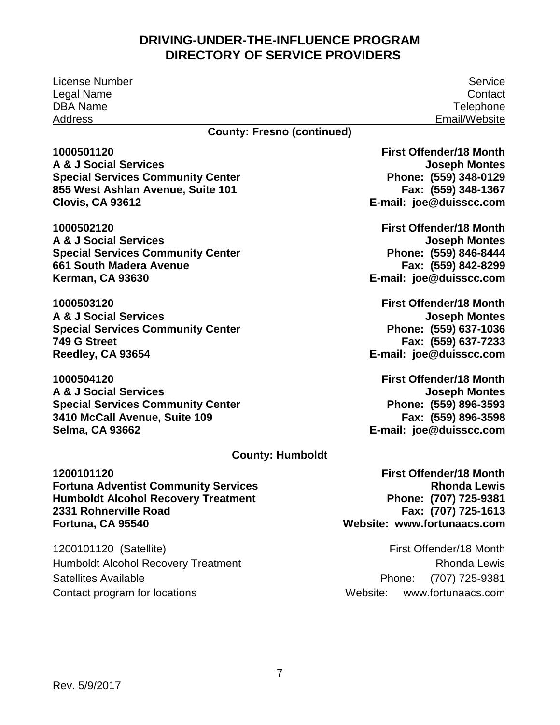License Number Legal Name DBA Name Address

Service **Contact Telephone** Email/Website

#### **County: Fresno (continued)**

 **855 West Ashlan Avenue, Suite 101 1000501120 A & J Social Services Special Services Community Center Clovis, CA 93612** 

**1000502120 A & J Social Services Special Services Community Center 661 South Madera Avenue Kerman, CA 93630** 

**1000503120 A & J Social Services Special Services Community Center 749 G Street Reedley, CA 93654** 

**1000504120 A & J Social Services Special Services Community Center 3410 McCall Avenue, Suite 109 Selma, CA 93662** 

 **Phone: (559) 348-0129 Fax: (559) 348-1367 First Offender/18 Month Joseph Montes E-mail: joe@duisscc.com** 

 **Fax: (559) 842-8299 E-mail: [joe@duisscc.com](mailto:joe@duisscc.com)  First Offender/18 Month Joseph Montes Phone: (559) 846-8444** 

 **Phone: (559) 637-1036 Fax: (559) 637-7233 E-mail: joe@duisscc.com First Offender/18 Month Joseph Montes** 

 **Phone: (559) 896-3593 Fax: (559) 896-3598 E-mail: joe@duisscc.com First Offender/18 Month Joseph Montes** 

#### **County: Humboldt**

**1200101120 Fortuna Adventist Community Services Humboldt Alcohol Recovery Treatment 2331 Rohnerville Road Fortuna, CA 95540** 

1200101120 (Satellite) Humboldt Alcohol Recovery Treatment Satellites Available Contact program for locations

 **Phone: (707) 725-9381 Website: www.fortunaacs.com First Offender/18 Month Rhonda Lewis Fax: (707) 725-1613** 

First Offender/18 Month Rhonda Lewis Phone: (707) 725-9381 Website: www.fortunaacs.com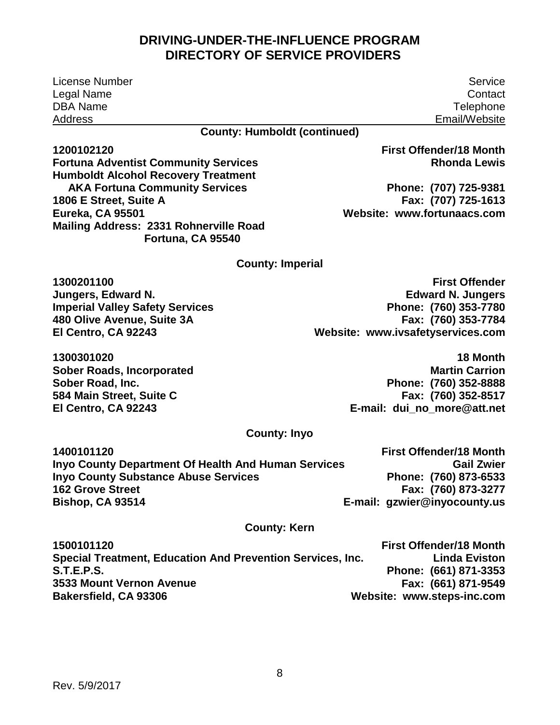License Number Legal Name DBA Name Address

**Service Contact Telephone** Email/Website

**County: Humboldt (continued)** 

**1200102120** 

**Fortuna Adventist Community Services Humboldt Alcohol Recovery Treatment AKA Fortuna Community Services 1806 E Street, Suite A Eureka, CA 95501 Mailing Address: 2331 Rohnerville Road Fortuna, CA 95540** 

**First Offender/18 Month Rhonda Lewis** 

**Phone: (707) 725-9381 Fax: (707) 725-1613 Website: www.fortunaacs.com** 

#### **County: Imperial**

**1300201100 Jungers, Edward N. Imperial Valley Safety Services 480 Olive Avenue, Suite 3A El Centro, CA 92243** 

**1300301020 Sober Roads, Incorporated Sober Road, Inc. 584 Main Street, Suite C El Centro, CA 92243** 

**First Offender Edward N. Jungers Phone: (760) 353-7780 Fax: (760) 353-7784 Website: [www.ivsafetyservices.com](http://www.ivsafetyservices.com/)** 

> **18 Month Martin Carrion Phone: (760) 352-8888 Fax: (760) 352-8517 E-mail: dui\_no\_more@att.net**

#### **County: Inyo**

| 1400101120                                                 | <b>First Offender/18 Month</b> |
|------------------------------------------------------------|--------------------------------|
| <b>Inyo County Department Of Health And Human Services</b> | <b>Gail Zwier</b>              |
| <b>Inyo County Substance Abuse Services</b>                | Phone: (760) 873-6533          |
| <b>162 Grove Street</b>                                    | Fax: (760) 873-3277            |
| <b>Bishop, CA 93514</b>                                    | E-mail: gzwier@inyocounty.us   |

#### **County: Kern**

| 1500101120                                                 | <b>First Offender/18 Month</b> |
|------------------------------------------------------------|--------------------------------|
| Special Treatment, Education And Prevention Services, Inc. | <b>Linda Eviston</b>           |
| <b>S.T.E.P.S.</b>                                          | Phone: (661) 871-3353          |
| 3533 Mount Vernon Avenue                                   | Fax: (661) 871-9549            |
| Bakersfield, CA 93306                                      | Website: www.steps-inc.com     |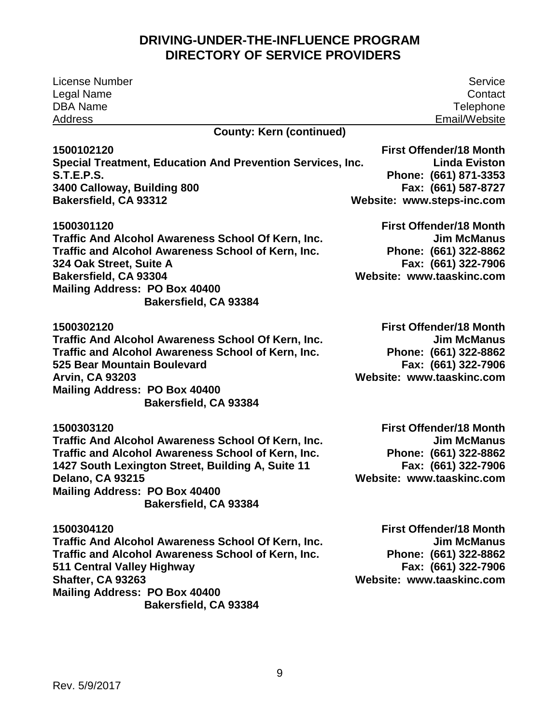| License Number                                             | Service                        |
|------------------------------------------------------------|--------------------------------|
| Legal Name                                                 | Contact                        |
| <b>DBA Name</b>                                            | Telephone                      |
| <b>Address</b>                                             | Email/Website                  |
| <b>County: Kern (continued)</b>                            |                                |
| 1500102120                                                 | <b>First Offender/18 Month</b> |
| Special Treatment, Education And Prevention Services, Inc. | <b>Linda Eviston</b>           |
| <b>S.T.E.P.S.</b>                                          | Phone: (661) 871-3353          |
| 3400 Calloway, Building 800                                | Fax: (661) 587-8727            |
| Bakersfield, CA 93312                                      | Website: www.steps-inc.com     |
| 1500301120                                                 | <b>First Offender/18 Month</b> |
| Traffic And Alcohol Awareness School Of Kern, Inc.         | <b>Jim McManus</b>             |
| Traffic and Alcohol Awareness School of Kern, Inc.         | Phone: (661) 322-8862          |
| 324 Oak Street, Suite A                                    | Fax: (661) 322-7906            |
| Bakersfield, CA 93304                                      | Website: www.taaskinc.com      |
| Mailing Address: PO Box 40400                              |                                |
| Bakersfield, CA 93384                                      |                                |
| 1500302120                                                 | <b>First Offender/18 Month</b> |
| Traffic And Alcohol Awareness School Of Kern, Inc.         | <b>Jim McManus</b>             |
| Traffic and Alcohol Awareness School of Kern, Inc.         | Phone: (661) 322-8862          |
| 525 Bear Mountain Boulevard                                | Fax: (661) 322-7906            |
| <b>Arvin, CA 93203</b>                                     | Website: www.taaskinc.com      |
| Mailing Address: PO Box 40400                              |                                |
| Bakersfield, CA 93384                                      |                                |
| 1500303120                                                 | <b>First Offender/18 Month</b> |
| Traffic And Alcohol Awareness School Of Kern, Inc.         | <b>Jim McManus</b>             |
| Traffic and Alcohol Awareness School of Kern, Inc.         | Phone: (661) 322-8862          |
| 1427 South Lexington Street, Building A, Suite 11          | Fax: (661) 322-7906            |
| <b>Delano, CA 93215</b>                                    | Website: www.taaskinc.com      |
| Mailing Address: PO Box 40400                              |                                |
| Bakersfield, CA 93384                                      |                                |
| 1500304120                                                 | <b>First Offender/18 Month</b> |
| Traffic And Alcohol Awareness School Of Kern, Inc.         | <b>Jim McManus</b>             |
| Traffic and Alcohol Awareness School of Kern, Inc.         | Phone: (661) 322-8862          |
| 511 Central Valley Highway                                 | Fax: (661) 322-7906            |
| Shafter, CA 93263                                          | Website: www.taaskinc.com      |
| Mailing Address: PO Box 40400                              |                                |
| Bakersfield, CA 93384                                      |                                |
|                                                            |                                |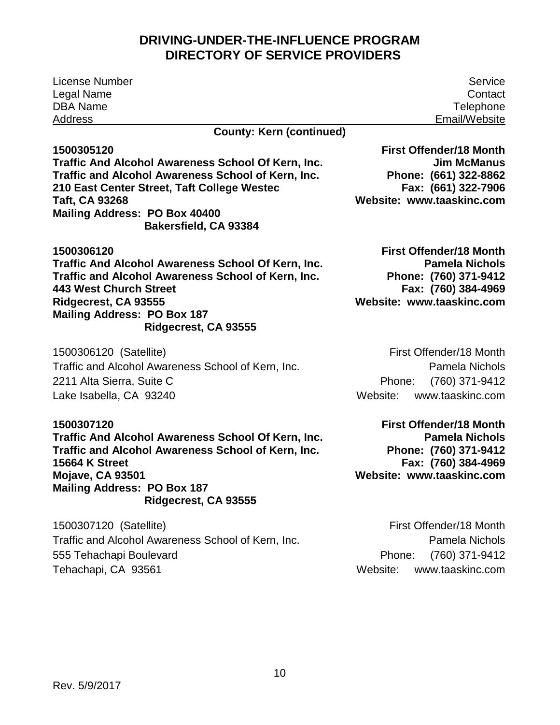<span id="page-14-0"></span>

| <b>License Number</b>                              | Service                        |
|----------------------------------------------------|--------------------------------|
| Legal Name                                         | Contact                        |
| <b>DBA Name</b>                                    | Telephone                      |
| <b>Address</b>                                     | Email/Website                  |
| <b>County: Kern (continued)</b>                    |                                |
| 1500305120                                         | <b>First Offender/18 Month</b> |
| Traffic And Alcohol Awareness School Of Kern, Inc. | <b>Jim McManus</b>             |
| Traffic and Alcohol Awareness School of Kern, Inc. | Phone: (661) 322-8862          |
| 210 East Center Street, Taft College Westec        | Fax: (661) 322-7906            |
| Taft, CA 93268                                     | Website: www.taaskinc.com      |
| Mailing Address: PO Box 40400                      |                                |
| Bakersfield, CA 93384                              |                                |
| 1500306120                                         | <b>First Offender/18 Month</b> |
| Traffic And Alcohol Awareness School Of Kern, Inc. | <b>Pamela Nichols</b>          |
| Traffic and Alcohol Awareness School of Kern, Inc. | Phone: (760) 371-9412          |
| <b>443 West Church Street</b>                      | Fax: (760) 384-4969            |
| Ridgecrest, CA 93555                               | Website: www.taaskinc.com      |
| <b>Mailing Address: PO Box 187</b>                 |                                |
| Ridgecrest, CA 93555                               |                                |
| 1500306120 (Satellite)                             | First Offender/18 Month        |
| Traffic and Alcohol Awareness School of Kern, Inc. | Pamela Nichols                 |
| 2211 Alta Sierra, Suite C                          | (760) 371-9412<br>Phone:       |
| Lake Isabella, CA 93240                            | www.taaskinc.com<br>Website:   |
| 1500307120                                         | <b>First Offender/18 Month</b> |
| Traffic And Alcohol Awareness School Of Kern, Inc. | <b>Pamela Nichols</b>          |
| Traffic and Alcohol Awareness School of Kern, Inc. | Phone: (760) 371-9412          |
| <b>15664 K Street</b>                              | Fax: (760) 384-4969            |

**Mojave, CA 93501 Mailing Address: PO Box 187 Ridgecrest, CA 93555**

 1500307120 (Satellite) Traffic and Alcohol Awareness School of Kern, Inc. 555 Tehachapi Boulevard Tehachapi, CA 93561

 **Website: [www.taaskinc.com](http://www.taaskinc.com/)**

Phone: Website: [www.taaskinc.com](http://www.taaskinc.com/) First Offender/18 Month Pamela Nichols (760) 371-9412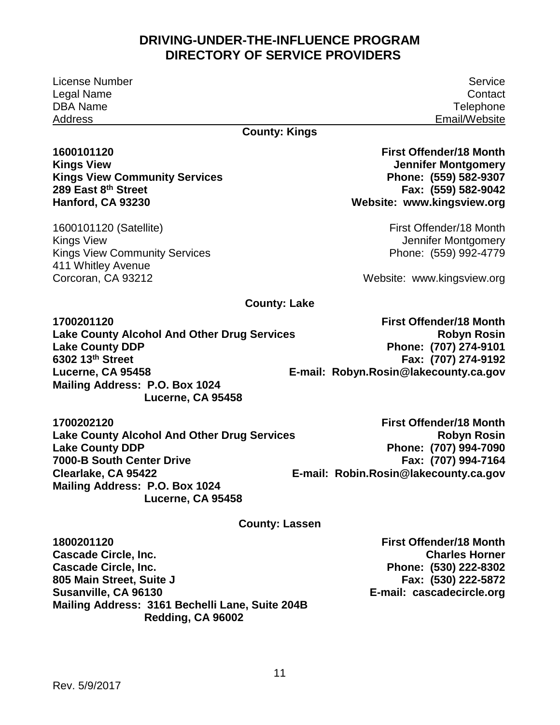License Number Legal Name DBA Name Address

#### **County: Kings**

#### **289 East 8th Street 1600101120 Kings View Kings View Community Services Hanford, CA 93230**

1600101120 (Satellite) Kings View Kings View Community Services 411 Whitley Avenue Corcoran, CA 93212

 **Website: [www.kingsview.org](http://www.kingsview.org/)  First Offender/18 Month Jennifer Montgomery Phone: (559) 582-9307 Fax: (559) 582-9042** 

> First Offender/18 Month Jennifer Montgomery Phone: (559) 992-4779

Website: [www.kingsview.org](http://www.kingsview.org/) 

#### **County: Lake**

**1700201120 Lake County Alcohol And Other Drug Services Lake County DDP 6302 13th Street Lucerne, CA 95458 Mailing Address: P.O. Box 1024 Lucerne, CA 95458** 

**First Offender/18 Month Robyn Rosin Phone: (707) 274-9101 Fax: (707) 274-9192 E-mail: [Robyn.Rosin@lakecounty.ca.gov](mailto:Robyn.Rosin@lakecounty.ca.gov)** 

**1700202120 Lake County Alcohol And Other Drug Services Lake County DDP 7000-B South Center Drive Clearlake, CA 95422 Mailing Address: P.O. Box 1024 Lucerne, CA 95458** 

 **Phone: (707) 994-7090 E-mail: [Robin.Rosin@lakecounty.ca.gov](mailto:Robin.Rosin@lakecounty.ca.gov)  First Offender/18 Month Robyn Rosin Fax: (707) 994-7164** 

#### **County: Lassen**

**1800201120 Cascade Circle, Inc. Cascade Circle, Inc. 805 Main Street, Suite J Susanville, CA 96130 Mailing Address: 3161 Bechelli Lane, Suite 204B Redding, CA 96002** 

**First Offender/18 Month Charles Horner Phone: (530) 222-8302 Fax: (530) 222-5872 E-mail: cascadecircle.org** 

Service **Contact Telephone** Email/Website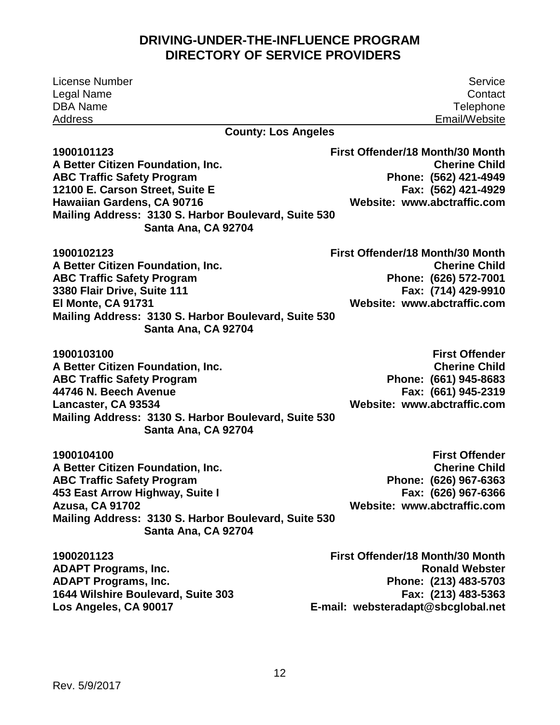| <b>License Number</b>                                                       | Service                          |
|-----------------------------------------------------------------------------|----------------------------------|
| Legal Name                                                                  | Contact                          |
| <b>DBA Name</b>                                                             | Telephone                        |
| Address                                                                     | Email/Website                    |
| <b>County: Los Angeles</b>                                                  |                                  |
| 1900101123                                                                  | First Offender/18 Month/30 Month |
| A Better Citizen Foundation, Inc.                                           | <b>Cherine Child</b>             |
| <b>ABC Traffic Safety Program</b>                                           | Phone: (562) 421-4949            |
| 12100 E. Carson Street, Suite E                                             | Fax: (562) 421-4929              |
| Hawaiian Gardens, CA 90716                                                  | Website: www.abctraffic.com      |
| Mailing Address: 3130 S. Harbor Boulevard, Suite 530                        |                                  |
| Santa Ana, CA 92704                                                         |                                  |
| 1900102123                                                                  | First Offender/18 Month/30 Month |
| A Better Citizen Foundation, Inc.                                           | <b>Cherine Child</b>             |
| <b>ABC Traffic Safety Program</b>                                           | Phone: (626) 572-7001            |
| 3380 Flair Drive, Suite 111                                                 | Fax: (714) 429-9910              |
| El Monte, CA 91731                                                          | Website: www.abctraffic.com      |
| Mailing Address: 3130 S. Harbor Boulevard, Suite 530                        |                                  |
| Santa Ana, CA 92704                                                         |                                  |
| 1900103100                                                                  | <b>First Offender</b>            |
| A Better Citizen Foundation, Inc.                                           | <b>Cherine Child</b>             |
| <b>ABC Traffic Safety Program</b>                                           | Phone: (661) 945-8683            |
| 44746 N. Beech Avenue                                                       | Fax: (661) 945-2319              |
| Lancaster, CA 93534                                                         | Website: www.abctraffic.com      |
| Mailing Address: 3130 S. Harbor Boulevard, Suite 530                        |                                  |
| Santa Ana, CA 92704                                                         |                                  |
| 1900104100                                                                  | <b>First Offender</b>            |
| A Better Citizen Foundation, Inc.                                           | <b>Cherine Child</b>             |
| <b>ABC Traffic Safety Program</b>                                           | Phone: (626) 967-6363            |
| 453 East Arrow Highway, Suite I                                             | Fax: (626) 967-6366              |
| <b>Azusa, CA 91702</b>                                                      | Website: www.abctraffic.com      |
| Mailing Address: 3130 S. Harbor Boulevard, Suite 530<br>Santa Ana, CA 92704 |                                  |
| 1900201123                                                                  | First Offender/18 Month/30 Month |
| <b>ADAPT Programs, Inc.</b>                                                 | <b>Ronald Webster</b>            |
| <b>ADAPT Programs, Inc.</b>                                                 | Phone: (213) 483-5703            |
| 1644 Wilshire Boulevard, Suite 303                                          | Fax: (213) 483-5363              |

**Los Angeles, CA 90017** 

**E-mail: [websteradapt@sbcglobal.net](mailto:websteradapt@sbcglobal.net)**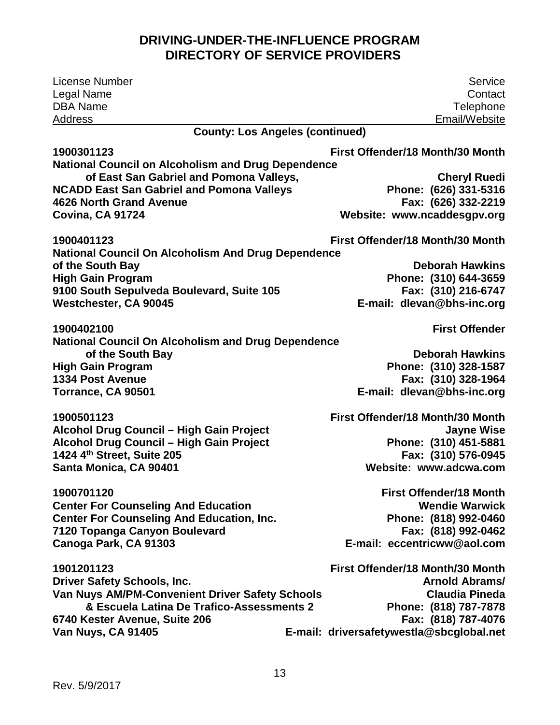| License Number                                                                                       | Service                                  |
|------------------------------------------------------------------------------------------------------|------------------------------------------|
| Legal Name                                                                                           | Contact                                  |
| <b>DBA Name</b>                                                                                      | Telephone                                |
| Address                                                                                              | Email/Website                            |
| <b>County: Los Angeles (continued)</b>                                                               |                                          |
| 1900301123                                                                                           | First Offender/18 Month/30 Month         |
| <b>National Council on Alcoholism and Drug Dependence</b><br>of East San Gabriel and Pomona Valleys, | <b>Cheryl Ruedi</b>                      |
| <b>NCADD East San Gabriel and Pomona Valleys</b>                                                     | Phone: (626) 331-5316                    |
| 4626 North Grand Avenue                                                                              | Fax: (626) 332-2219                      |
| Covina, CA 91724                                                                                     | Website: www.ncaddesgpv.org              |
| 1900401123                                                                                           | First Offender/18 Month/30 Month         |
| <b>National Council On Alcoholism And Drug Dependence</b>                                            |                                          |
| of the South Bay                                                                                     | <b>Deborah Hawkins</b>                   |
| <b>High Gain Program</b>                                                                             | Phone: (310) 644-3659                    |
| 9100 South Sepulveda Boulevard, Suite 105                                                            | Fax: (310) 216-6747                      |
| Westchester, CA 90045                                                                                | E-mail: dlevan@bhs-inc.org               |
| 1900402100                                                                                           | <b>First Offender</b>                    |
| <b>National Council On Alcoholism and Drug Dependence</b>                                            |                                          |
| of the South Bay                                                                                     | <b>Deborah Hawkins</b>                   |
| <b>High Gain Program</b>                                                                             | Phone: (310) 328-1587                    |
| <b>1334 Post Avenue</b>                                                                              | Fax: (310) 328-1964                      |
| Torrance, CA 90501                                                                                   | E-mail: dlevan@bhs-inc.org               |
| 1900501123                                                                                           | First Offender/18 Month/30 Month         |
| Alcohol Drug Council - High Gain Project                                                             | <b>Jayne Wise</b>                        |
| Alcohol Drug Council - High Gain Project                                                             | Phone: (310) 451-5881                    |
| 1424 4th Street, Suite 205                                                                           | Fax: (310) 576-0945                      |
| Santa Monica, CA 90401                                                                               | Website: www.adcwa.com                   |
| 1900701120                                                                                           | <b>First Offender/18 Month</b>           |
| <b>Center For Counseling And Education</b>                                                           | <b>Wendie Warwick</b>                    |
| <b>Center For Counseling And Education, Inc.</b>                                                     | Phone: (818) 992-0460                    |
| 7120 Topanga Canyon Boulevard                                                                        | Fax: (818) 992-0462                      |
| Canoga Park, CA 91303                                                                                | E-mail: eccentricww@aol.com              |
| 1901201123                                                                                           | First Offender/18 Month/30 Month         |
| <b>Driver Safety Schools, Inc.</b>                                                                   | <b>Arnold Abrams/</b>                    |
| Van Nuys AM/PM-Convenient Driver Safety Schools                                                      | <b>Claudia Pineda</b>                    |
| & Escuela Latina De Trafico-Assessments 2                                                            | Phone: (818) 787-7878                    |
| 6740 Kester Avenue, Suite 206                                                                        | Fax: (818) 787-4076                      |
| Van Nuys, CA 91405                                                                                   | E-mail: driversafetywestla@sbcglobal.net |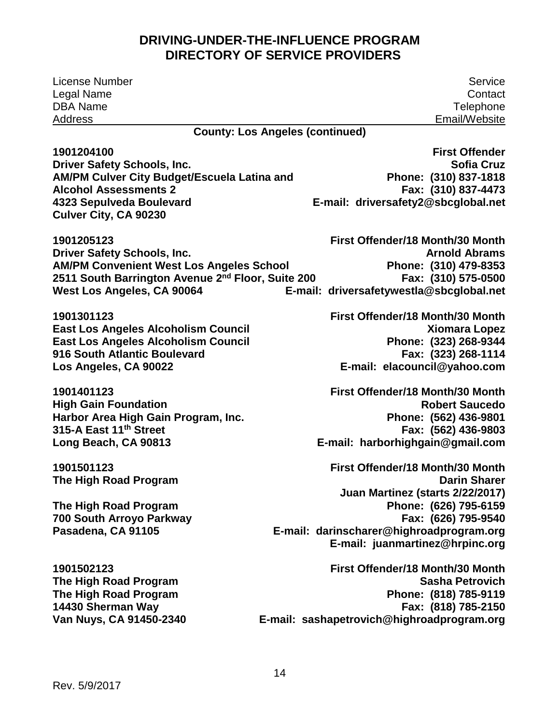| <b>License Number</b>                                         | Service                                    |
|---------------------------------------------------------------|--------------------------------------------|
| Legal Name                                                    | Contact                                    |
| <b>DBA Name</b>                                               | Telephone                                  |
| <b>Address</b>                                                | Email/Website                              |
|                                                               | <b>County: Los Angeles (continued)</b>     |
| 1901204100                                                    | <b>First Offender</b>                      |
| <b>Driver Safety Schools, Inc.</b>                            | <b>Sofia Cruz</b>                          |
| AM/PM Culver City Budget/Escuela Latina and                   | Phone: (310) 837-1818                      |
| <b>Alcohol Assessments 2</b>                                  | Fax: (310) 837-4473                        |
| 4323 Sepulveda Boulevard                                      | E-mail: driversafety2@sbcglobal.net        |
| <b>Culver City, CA 90230</b>                                  |                                            |
| 1901205123                                                    | First Offender/18 Month/30 Month           |
| <b>Driver Safety Schools, Inc.</b>                            | <b>Arnold Abrams</b>                       |
| <b>AM/PM Convenient West Los Angeles School</b>               | Phone: (310) 479-8353                      |
| 2511 South Barrington Avenue 2 <sup>nd</sup> Floor, Suite 200 | Fax: (310) 575-0500                        |
| West Los Angeles, CA 90064                                    | E-mail: driversafetywestla@sbcglobal.net   |
| 1901301123                                                    | First Offender/18 Month/30 Month           |
| <b>East Los Angeles Alcoholism Council</b>                    | <b>Xiomara Lopez</b>                       |
| <b>East Los Angeles Alcoholism Council</b>                    | Phone: (323) 268-9344                      |
| 916 South Atlantic Boulevard                                  | Fax: (323) 268-1114                        |
| Los Angeles, CA 90022                                         | E-mail: elacouncil@yahoo.com               |
| 1901401123                                                    | First Offender/18 Month/30 Month           |
| <b>High Gain Foundation</b>                                   | <b>Robert Saucedo</b>                      |
| Harbor Area High Gain Program, Inc.                           | Phone: (562) 436-9801                      |
| 315-A East 11 <sup>th</sup> Street                            | Fax: (562) 436-9803                        |
| Long Beach, CA 90813                                          | E-mail: harborhighgain@gmail.com           |
| 1901501123                                                    | First Offender/18 Month/30 Month           |
| The High Road Program                                         | <b>Darin Sharer</b>                        |
|                                                               | Juan Martinez (starts 2/22/2017)           |
| The High Road Program                                         | Phone: (626) 795-6159                      |
| 700 South Arroyo Parkway                                      | Fax: (626) 795-9540                        |
| Pasadena, CA 91105                                            | E-mail: darinscharer@highroadprogram.org   |
|                                                               | E-mail: juanmartinez@hrpinc.org            |
| 1901502123                                                    | First Offender/18 Month/30 Month           |
| The High Road Program                                         | <b>Sasha Petrovich</b>                     |
| The High Road Program                                         | Phone: (818) 785-9119                      |
| 14430 Sherman Way                                             | Fax: (818) 785-2150                        |
| Van Nuys, CA 91450-2340                                       | E-mail: sashapetrovich@highroadprogram.org |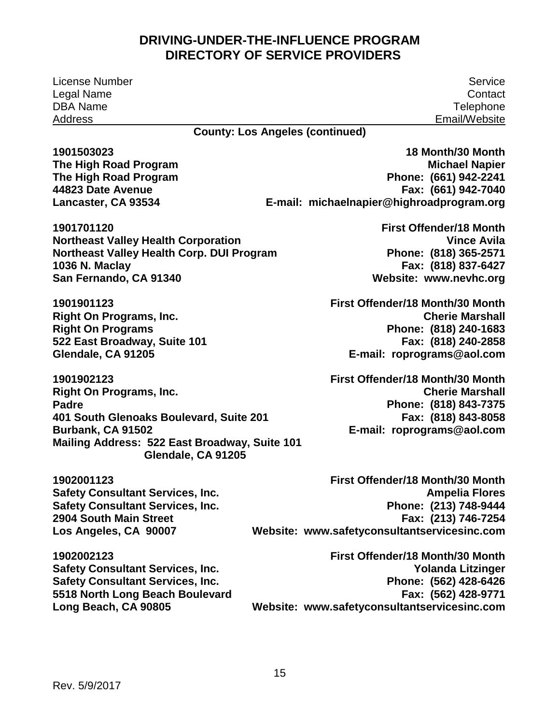License Number Legal Name DBA Name Address

Service **Contact Telephone** Email/Website

**18 Month/30 Month** 

**County: Los Angeles (continued)** 

**1901503023 The High Road Program The High Road Program 44823 Date Avenue Lancaster, CA 93534** 

**1901701120 Northeast Valley Health Corporation Northeast Valley Health Corp. DUI Program 1036 N. Maclay San Fernando, CA 91340** 

**1901901123 Right On Programs, Inc. Right On Programs 522 East Broadway, Suite 101 Glendale, CA 91205** 

**1901902123 Right On Programs, Inc. Padre 401 South Glenoaks Boulevard, Suite 201 Burbank, CA 91502 Mailing Address: 522 East Broadway, Suite 101 Glendale, CA 91205** 

**1902001123 Safety Consultant Services, Inc. Safety Consultant Services, Inc. 2904 South Main Street Los Angeles, CA 90007** 

 **Phone: (661) 942-2241 E-mail: [michaelnapier@highroadprogram.org](mailto:michaelnapier@highroadprogram.org)  Michael Napier Fax: (661) 942-7040** 

 **Phone: (818) 365-2571 Website: [www.nevhc.org](http://www.nevhc.org/)  First Offender/18 Month Vince Avila Fax: (818) 837-6427** 

 **Phone: (818) 240-1683 First Offender/18 Month/30 Month Cherie Marshall Fax: (818) 240-2858 E-mail: [roprograms@aol.com](mailto:roprograms@aol.com)** 

 **Phone: (818) 843-7375 E-mail: [roprograms@aol.com](mailto:roprograms@aol.com)  First Offender/18 Month/30 Month Cherie Marshall Fax: (818) 843-8058** 

 **Phone: (213) 748-9444 Website: [www.safetyconsultantservicesinc.com](http://www.safetyconsultantservicesinc.com/)  First Offender/18 Month/30 Month Ampelia Flores Fax: (213) 746-7254** 

**1902002123 Safety Consultant Services, Inc. Safety Consultant Services, Inc. 5518 North Long Beach Boulevard Long Beach, CA 90805** 

 **Phone: (562) 428-6426 Website: [www.safetyconsultantservicesinc.com](http://www.safetyconsultantservicesinc.com/)  First Offender/18 Month/30 Month Yolanda Litzinger Fax: (562) 428-9771**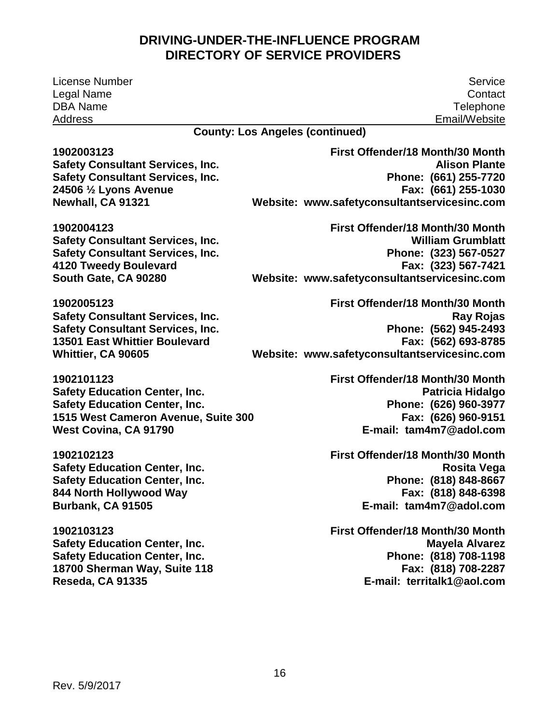License Number Legal Name DBA Name Address

**1902004123** 

Service **Contact Telephone** Email/Website

**County: Los Angeles (continued)** 

**1902003123 Safety Consultant Services, Inc. Safety Consultant Services, Inc. 24506 ½ Lyons Avenue Newhall, CA 91321** 

**Safety Consultant Services, Inc. Safety Consultant Services, Inc.** 

**4120 Tweedy Boulevard South Gate, CA 90280** 

 **Phone: (661) 255-7720 Website: [www.safetyconsultantservicesinc.com](http://www.safetyconsultantservicesinc.com/)  First Offender/18 Month/30 Month Alison Plante Fax: (661) 255-1030** 

 **Phone: (323) 567-0527 Website: [www.safetyconsultantservicesinc.com](http://www.safetyconsultantservicesinc.com/)  First Offender/18 Month/30 Month William Grumblatt Fax: (323) 567-7421** 

**1902005123 Safety Consultant Services, Inc. Safety Consultant Services, Inc. 13501 East Whittier Boulevard Whittier, CA 90605** 

**1902101123 Safety Education Center, Inc. Safety Education Center, Inc. 1515 West Cameron Avenue, Suite 300 West Covina, CA 91790** 

**1902102123 Safety Education Center, Inc. Safety Education Center, Inc. 844 North Hollywood Way Burbank, CA 91505** 

**1902103123 Safety Education Center, Inc. Safety Education Center, Inc. 18700 Sherman Way, Suite 118 Reseda, CA 91335** 

 **Phone: (562) 945-2493 Website: [www.safetyconsultantservicesinc.com](http://www.safetyconsultantservicesinc.com/)  First Offender/18 Month/30 Month Ray Rojas Fax: (562) 693-8785** 

> **Phone: (626) 960-3977 E-mail: [tam4m7@adol.com](mailto:tam4m7@adol.com)  First Offender/18 Month/30 Month Patricia Hidalgo Fax: (626) 960-9151**

> **Phone: (818) 848-8667 E-mail: [tam4m7@adol.com](mailto:tam4m7@adol.com)  First Offender/18 Month/30 Month Rosita Vega Fax: (818) 848-6398**

> **Phone: (818) 708-1198 E-mail: [territalk1@aol.com](mailto:territalk1@aol.com)  First Offender/18 Month/30 Month Mayela Alvarez Fax: (818) 708-2287**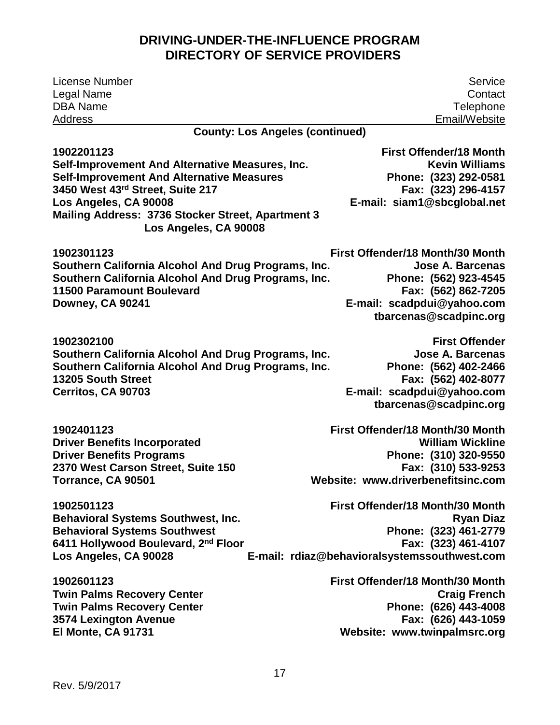| <b>License Number</b>                                                      | Service                                      |
|----------------------------------------------------------------------------|----------------------------------------------|
| Legal Name                                                                 | Contact                                      |
| <b>DBA Name</b>                                                            | Telephone                                    |
| <b>Address</b>                                                             | Email/Website                                |
| <b>County: Los Angeles (continued)</b>                                     |                                              |
| 1902201123                                                                 | <b>First Offender/18 Month</b>               |
| Self-Improvement And Alternative Measures, Inc.                            | <b>Kevin Williams</b>                        |
| <b>Self-Improvement And Alternative Measures</b>                           | Phone: (323) 292-0581                        |
| 3450 West 43rd Street, Suite 217                                           | Fax: (323) 296-4157                          |
| Los Angeles, CA 90008                                                      | E-mail: siam1@sbcglobal.net                  |
| Mailing Address: 3736 Stocker Street, Apartment 3<br>Los Angeles, CA 90008 |                                              |
| 1902301123                                                                 | First Offender/18 Month/30 Month             |
| Southern California Alcohol And Drug Programs, Inc.                        | <b>Jose A. Barcenas</b>                      |
| Southern California Alcohol And Drug Programs, Inc.                        | Phone: (562) 923-4545                        |
| <b>11500 Paramount Boulevard</b>                                           | Fax: (562) 862-7205                          |
| Downey, CA 90241                                                           | E-mail: scadpdui@yahoo.com                   |
|                                                                            | tbarcenas@scadpinc.org                       |
| 1902302100                                                                 | <b>First Offender</b>                        |
| Southern California Alcohol And Drug Programs, Inc.                        | <b>Jose A. Barcenas</b>                      |
| Southern California Alcohol And Drug Programs, Inc.                        | Phone: (562) 402-2466                        |
| 13205 South Street                                                         | Fax: (562) 402-8077                          |
| Cerritos, CA 90703                                                         | E-mail: scadpdui@yahoo.com                   |
|                                                                            | tbarcenas@scadpinc.org                       |
| 1902401123                                                                 | First Offender/18 Month/30 Month             |
| <b>Driver Benefits Incorporated</b>                                        | <b>William Wickline</b>                      |
| <b>Driver Benefits Programs</b>                                            | Phone: (310) 320-9550                        |
| 2370 West Carson Street, Suite 150                                         | Fax: (310) 533-9253                          |
| Torrance, CA 90501                                                         | Website: www.driverbenefitsinc.com           |
| 1902501123                                                                 | First Offender/18 Month/30 Month             |
| <b>Behavioral Systems Southwest, Inc.</b>                                  | <b>Ryan Diaz</b>                             |
| <b>Behavioral Systems Southwest</b>                                        | Phone: (323) 461-2779                        |
| 6411 Hollywood Boulevard, 2 <sup>nd</sup> Floor                            | Fax: (323) 461-4107                          |
| Los Angeles, CA 90028                                                      | E-mail: rdiaz@behavioralsystemssouthwest.com |
| 1902601123                                                                 | First Offender/18 Month/30 Month             |
| <b>Twin Palms Recovery Center</b>                                          | <b>Craig French</b>                          |
| <b>Twin Palms Recovery Center</b>                                          | Phone: (626) 443-4008                        |
| <b>3574 Lexington Avenue</b>                                               | Fax: (626) 443-1059                          |
| El Monte, CA 91731                                                         | Website: www.twinpalmsrc.org                 |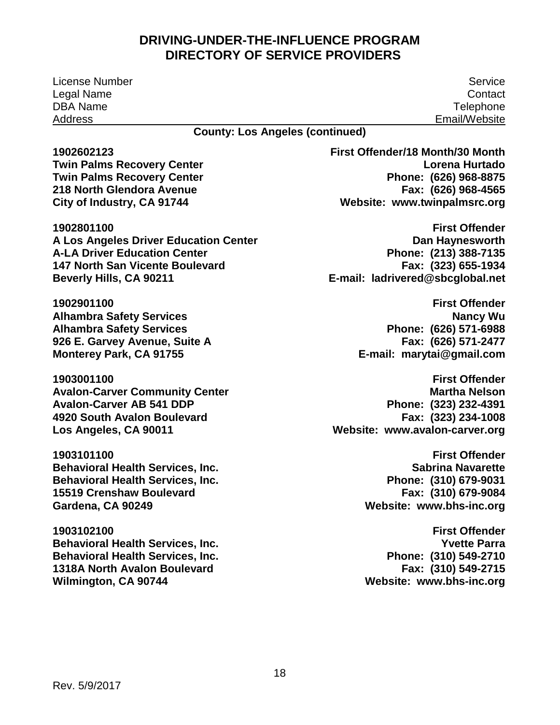License Number Service Legal Name DBA Name Address

**Contact Telephone** Email/Website

**County: Los Angeles (continued)** 

**1902602123** 

**Twin Palms Recovery Center Twin Palms Recovery Center 218 North Glendora Avenue City of Industry, CA 91744** 

 **A Los Angeles Driver Education Center 1902801100 A-LA Driver Education Center 147 North San Vicente Boulevard Beverly Hills, CA 90211** 

**1902901100 Alhambra Safety Services Alhambra Safety Services 926 E. Garvey Avenue, Suite A Monterey Park, CA 91755** 

**1903001100 Avalon-Carver Community Center Avalon-Carver AB 541 DDP 4920 South Avalon Boulevard Los Angeles, CA 90011** 

**1903101100 Behavioral Health Services, Inc. Behavioral Health Services, Inc. 15519 Crenshaw Boulevard Gardena, CA 90249** 

**1903102100 Behavioral Health Services, Inc. Behavioral Health Services, Inc. 1318A North Avalon Boulevard Wilmington, CA 90744** 

 **Phone: (626) 968-8875 Website: [www.twinpalmsrc.org](http://www.twinpalmsrc.org/)  First Offender/18 Month/30 Month Lorena Hurtado Fax: (626) 968-4565** 

 **Phone: (213) 388-7135 E-mail: [ladrivered@sbcglobal.net](mailto:ladrivered@sbcglobal.net)  First Offender Dan Haynesworth Fax: (323) 655-1934** 

> **Phone: (626) 571-6988 E-mail: [marytai@gmail.com](mailto:marytai@gmail.com)  First Offender Nancy Wu Fax: (626) 571-2477**

 **Phone: (323) 232-4391 Website: [www.avalon-carver.org](http://www.avalon-carver.org/)  First Offender Martha Nelson Fax: (323) 234-1008** 

> **Phone: (310) 679-9031 Fax: (310) 679-9084 Website: [www.bhs-inc.org](http://www.bhs-inc.org/)  First Offender Sabrina Navarette**

> **Website: [www.bhs-inc.org](http://www.bhs-inc.org/)  First Offender Yvette Parra Phone: (310) 549-2710 Fax: (310) 549-2715**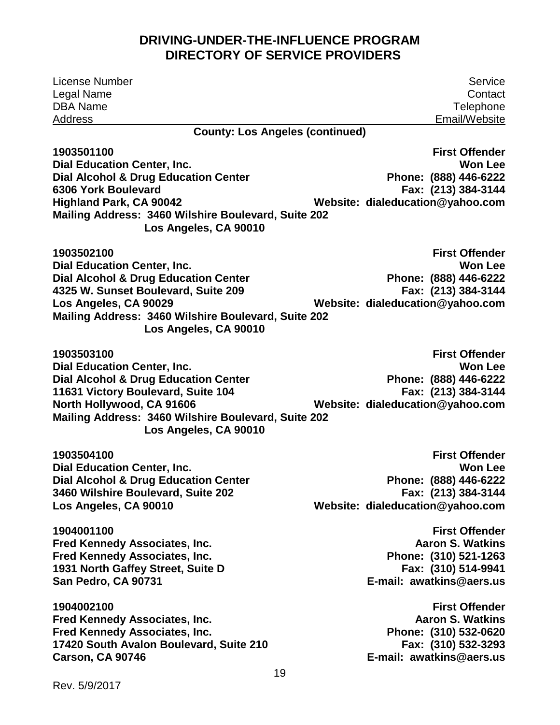| Service                                                                                                                                                                                                     |
|-------------------------------------------------------------------------------------------------------------------------------------------------------------------------------------------------------------|
| Contact                                                                                                                                                                                                     |
| Telephone                                                                                                                                                                                                   |
| Email/Website                                                                                                                                                                                               |
|                                                                                                                                                                                                             |
| <b>First Offender</b>                                                                                                                                                                                       |
| <b>Won Lee</b>                                                                                                                                                                                              |
| Phone: (888) 446-6222<br>Fax: (213) 384-3144                                                                                                                                                                |
| Website: dialeducation@yahoo.com                                                                                                                                                                            |
|                                                                                                                                                                                                             |
|                                                                                                                                                                                                             |
| <b>First Offender</b>                                                                                                                                                                                       |
| <b>Won Lee</b>                                                                                                                                                                                              |
| Phone: (888) 446-6222                                                                                                                                                                                       |
| Fax: (213) 384-3144                                                                                                                                                                                         |
| Website: dialeducation@yahoo.com                                                                                                                                                                            |
|                                                                                                                                                                                                             |
| <b>First Offender</b>                                                                                                                                                                                       |
| <b>Won Lee</b>                                                                                                                                                                                              |
| Phone: (888) 446-6222                                                                                                                                                                                       |
| Fax: (213) 384-3144                                                                                                                                                                                         |
| Website: dialeducation@yahoo.com                                                                                                                                                                            |
|                                                                                                                                                                                                             |
| <b>First Offender</b>                                                                                                                                                                                       |
| <b>Won Lee</b>                                                                                                                                                                                              |
| Phone: (888) 446-6222                                                                                                                                                                                       |
| Fax: (213) 384-3144                                                                                                                                                                                         |
| Website: dialeducation@yahoo.com                                                                                                                                                                            |
| <b>First Offender</b>                                                                                                                                                                                       |
| <b>Aaron S. Watkins</b>                                                                                                                                                                                     |
| Phone: (310) 521-1263                                                                                                                                                                                       |
| Fax: (310) 514-9941                                                                                                                                                                                         |
| E-mail: awatkins@aers.us                                                                                                                                                                                    |
| <b>First Offender</b>                                                                                                                                                                                       |
| <b>Aaron S. Watkins</b>                                                                                                                                                                                     |
| Phone: (310) 532-0620                                                                                                                                                                                       |
| Fax: (310) 532-3293<br>E-mail: awatkins@aers.us                                                                                                                                                             |
|                                                                                                                                                                                                             |
| <b>County: Los Angeles (continued)</b><br>Mailing Address: 3460 Wilshire Boulevard, Suite 202<br>Mailing Address: 3460 Wilshire Boulevard, Suite 202<br>Mailing Address: 3460 Wilshire Boulevard, Suite 202 |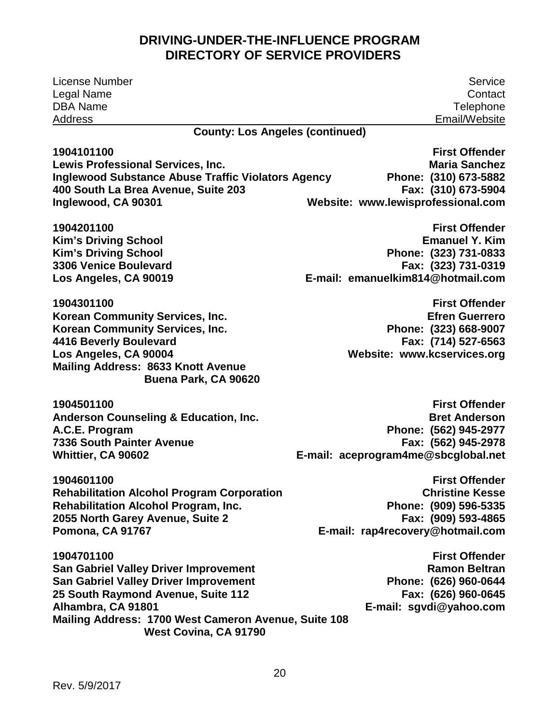| License Number                                                  | Service                                         |
|-----------------------------------------------------------------|-------------------------------------------------|
| Legal Name                                                      | Contact                                         |
| <b>DBA Name</b>                                                 | Telephone                                       |
| <b>Address</b>                                                  | Email/Website                                   |
| <b>County: Los Angeles (continued)</b>                          |                                                 |
| 1904101100                                                      | <b>First Offender</b>                           |
| Lewis Professional Services, Inc.                               | <b>Maria Sanchez</b>                            |
| <b>Inglewood Substance Abuse Traffic Violators Agency</b>       | Phone: (310) 673-5882                           |
| 400 South La Brea Avenue, Suite 203                             | Fax: (310) 673-5904                             |
| Inglewood, CA 90301                                             | Website: www.lewisprofessional.com              |
| 1904201100                                                      | <b>First Offender</b>                           |
| <b>Kim's Driving School</b>                                     | <b>Emanuel Y. Kim</b>                           |
| <b>Kim's Driving School</b>                                     | Phone: (323) 731-0833                           |
| 3306 Venice Boulevard                                           | Fax: (323) 731-0319                             |
| Los Angeles, CA 90019                                           | E-mail: emanuelkim814@hotmail.com               |
|                                                                 |                                                 |
| 1904301100                                                      | <b>First Offender</b>                           |
| <b>Korean Community Services, Inc.</b>                          | <b>Efren Guerrero</b>                           |
| <b>Korean Community Services, Inc.</b>                          | Phone: (323) 668-9007                           |
| 4416 Beverly Boulevard                                          | Fax: (714) 527-6563                             |
| Los Angeles, CA 90004                                           | Website: www.kcservices.org                     |
| <b>Mailing Address: 8633 Knott Avenue</b>                       |                                                 |
| Buena Park, CA 90620                                            |                                                 |
| 1904501100                                                      | <b>First Offender</b>                           |
| <b>Anderson Counseling &amp; Education, Inc.</b>                | <b>Bret Anderson</b>                            |
| A.C.E. Program                                                  | Phone: (562) 945-2977                           |
| <b>7336 South Painter Avenue</b>                                | Fax: (562) 945-2978                             |
| <b>Whittier, CA 90602</b>                                       | E-mail: aceprogram4me@sbcglobal.net             |
|                                                                 |                                                 |
| 1904601100<br><b>Rehabilitation Alcohol Program Corporation</b> | <b>First Offender</b><br><b>Christine Kesse</b> |
| <b>Rehabilitation Alcohol Program, Inc.</b>                     | Phone: (909) 596-5335                           |
| 2055 North Garey Avenue, Suite 2                                | Fax: (909) 593-4865                             |
| Pomona, CA 91767                                                | E-mail: rap4recovery@hotmail.com                |
|                                                                 |                                                 |
| 1904701100                                                      | <b>First Offender</b>                           |
| <b>San Gabriel Valley Driver Improvement</b>                    | <b>Ramon Beltran</b>                            |
| San Gabriel Valley Driver Improvement                           | Phone: (626) 960-0644                           |
| 25 South Raymond Avenue, Suite 112                              | Fax: (626) 960-0645                             |
| Alhambra, CA 91801                                              | E-mail: sgvdi@yahoo.com                         |
| Mailing Address: 1700 West Cameron Avenue, Suite 108            |                                                 |
| West Covina, CA 91790                                           |                                                 |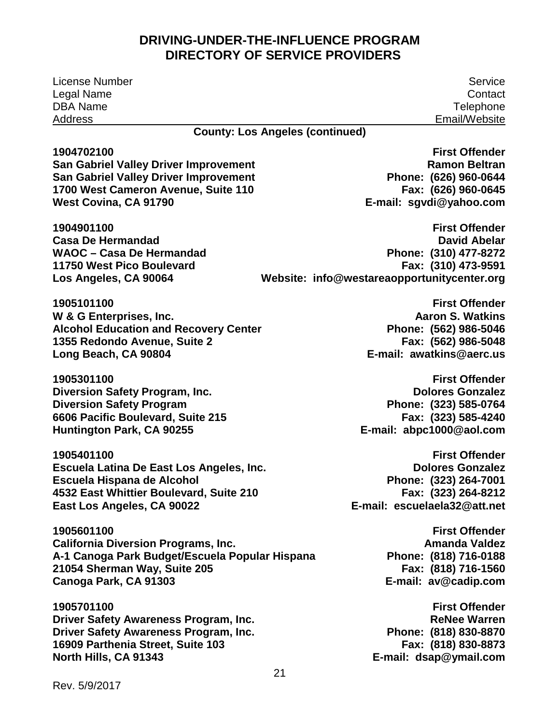License Number Service Legal Name Contact DBA Name Telephone Address Email/Website **County: Los Angeles (continued)** 

**1904702100 San Gabriel Valley Driver Improvement San Gabriel Valley Driver Improvement 1700 West Cameron Avenue, Suite 110 West Covina, CA 91790** 

**1904901100 Casa De Hermandad WAOC – Casa De Hermandad 11750 West Pico Boulevard Los Angeles, CA 90064** 

 **Phone: (626) 960-0644 E-mail: [sgvdi@yahoo.com](mailto:sgvdi@yahoo.com)  First Offender Ramon Beltran Fax: (626) 960-0645** 

 **Phone: (310) 477-8272 Website: [info@westareaopportunitycenter.org](mailto:guerrero_westarea@yahoo.com)  First Offender David Abelar Fax: (310) 473-9591** 

**1905101100 W & G Enterprises, Inc. Alcohol Education and Recovery Center 1355 Redondo Avenue, Suite 2 Long Beach, CA 90804** 

**1905301100 Diversion Safety Program, Inc. Diversion Safety Program 6606 Pacific Boulevard, Suite 215 Huntington Park, CA 90255** 

**1905401100 Escuela Latina De East Los Angeles, Inc. Escuela Hispana de Alcohol 4532 East Whittier Boulevard, Suite 210 East Los Angeles, CA 90022** 

**1905601100 California Diversion Programs, Inc. A-1 Canoga Park Budget/Escuela Popular Hispana 21054 Sherman Way, Suite 205 Canoga Park, CA 91303** 

**1905701100 Driver Safety Awareness Program, Inc. Driver Safety Awareness Program, Inc. 16909 Parthenia Street, Suite 103 North Hills, CA 91343** 

 **E-mail: [awatkins@aerc.us](mailto:awatkins@aerc.us)  First Offender Aaron S. Watkins Phone: (562) 986-5046 Fax: (562) 986-5048** 

 **Phone: (323) 585-0764 E-mail: [abpc1000@aol.com](mailto:abpc1000@aol.com)  First Offender Dolores Gonzalez Fax: (323) 585-4240** 

 **Phone: (323) 264-7001 Fax: (323) 264-8212 E-mail: [escuelaela32@att.net](mailto:escuelaela32@att.net)  First Offender Dolores Gonzalez** 

> **E-mail: [av@cadip.com](mailto:av@cadip.com)  First Offender Amanda Valdez Phone: (818) 716-0188 Fax: (818) 716-1560**

 **E-mail: [dsap@ymail.com](mailto:dsap@ymail.com)  First Offender ReNee Warren Phone: (818) 830-8870 Fax: (818) 830-8873**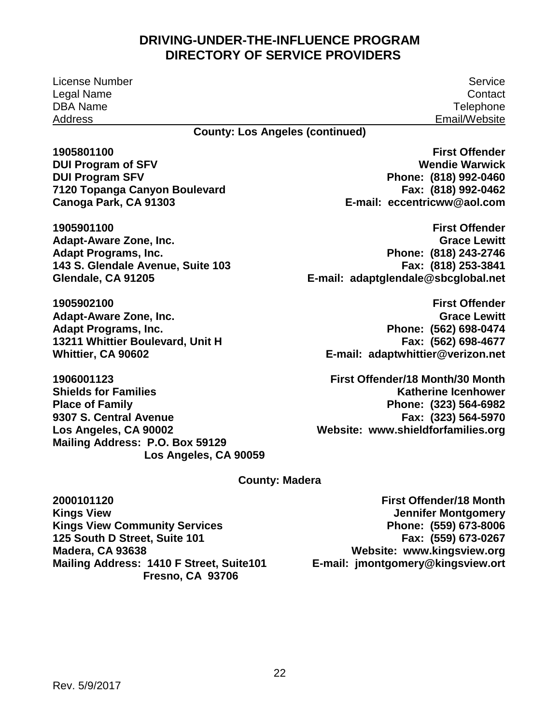License Number Service Legal Name DBA Name Address

**Contact Telephone** Email/Website

#### **County: Los Angeles (continued)**

**1905801100 DUI Program of SFV DUI Program SFV 7120 Topanga Canyon Boulevard Canoga Park, CA 91303** 

Canoga Park, CA 91303 E-mail:<br>1905901100 **Adapt-Aware Zone, Inc. Adapt Programs, Inc. 143 S. Glendale Avenue, Suite 103 Glendale, CA 91205** 

**1905902100 Adapt-Aware Zone, Inc. Adapt Programs, Inc. 13211 Whittier Boulevard, Unit H Whittier, CA 90602** 

**1906001123 Shields for Families Place of Family 9307 S. Central Avenue Los Angeles, CA 90002 Mailing Address: P.O. Box 59129 Los Angeles, CA 90059**   **[eccentricww@aol.com](mailto:eccentricww@aol.com)  First Offender Wendie Warwick Phone: (818) 992-0460 Fax: (818) 992-0462** 

 **E-mail: [adaptglendale@sbcglobal.net](mailto:adaptglendale@sbcglobal.net)  First Offender Grace Lewitt Phone: (818) 243-2746 Fax: (818) 253-3841** 

 **Phone: (562) 698-0474 E-mail: [adaptwhittier@verizon.net](mailto:adaptwhittier@verizon.net)  First Offender Grace Lewitt Fax: (562) 698-4677** 

 **Phone: (323) 564-6982 Website: [www.shieldforfamilies.org](http://www.shieldforfamilies.org/)  First Offender/18 Month/30 Month Katherine Icenhower Fax: (323) 564-5970** 

#### **County: Madera**

 **Mailing Address: 1410 F Street, Suite101 2000101120 Kings View Kings View Community Services 125 South D Street, Suite 101 Madera, CA 93638 Fresno, CA 93706** 

 **Phone: (559) 673-8006 Website: [www.kingsview.org](http://www.kingsview.org/)  First Offender/18 Month Jennifer Montgomery Fax: (559) 673-0267 E-mail: jmontgomery@kingsview.ort**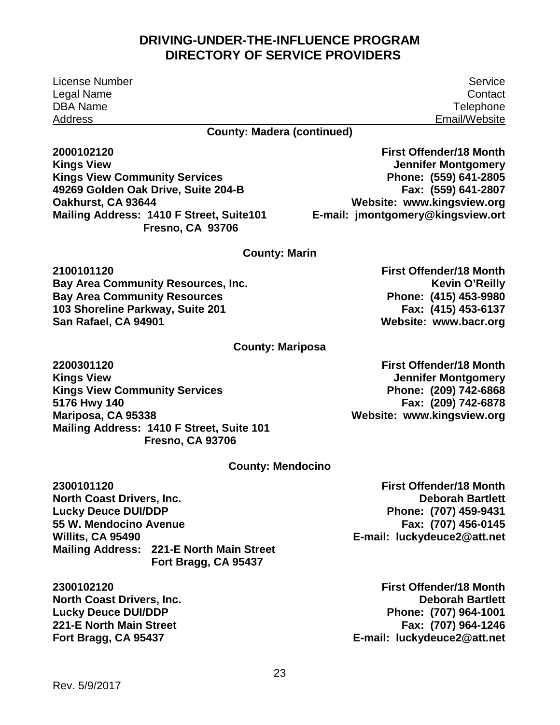License Number Legal Name DBA Name Address

**County: Madera (continued)** 

**2000102120 Kings View Kings View Community Services 49269 Golden Oak Drive, Suite 204-B Oakhurst, CA 93644 Mailing Address: 1410 F Street, Suite101 Fresno, CA 93706** 

#### **County: Marin**

**2100101120 Bay Area Community Resources, Inc. Bay Area Community Resources 103 Shoreline Parkway, Suite 201 San Rafael, CA 94901** 

#### **County: Mariposa**

 **Mariposa, CA 95338 Mailing Address: 1410 F Street, Suite 101 2200301120 Kings View Kings View Community Services 5176 Hwy 140 Fresno, CA 93706** 

 **Phone: (209) 742-6868 First Offender/18 Month Jennifer Montgomery Fax: (209) 742-6878 Website: [www.kingsview.org](http://www.kingsview.org/)** 

 **Phone: (415) 453-9980** 

**Fax: (415) 453-6137** 

**Kevin O'Reilly** 

**First Offender/18 Month** 

 **Website: [www.bacr.org](http://www.bacr.org/)** 

#### **County: Mendocino**

**2300101120 North Coast Drivers, Inc. Lucky Deuce DUI/DDP 55 W. Mendocino Avenue Willits, CA 95490 Mailing Address: 221-E North Main Street Fort Bragg, CA 95437** 

**2300102120 North Coast Drivers, Inc. Lucky Deuce DUI/DDP 221-E North Main Street Fort Bragg, CA 95437** 

 **Deborah Bartlett Phone: (707) 459-9431 E-mail: [luckydeuce2@att.net](mailto:luckydeuce2@att.net)  Fax: (707) 456-0145** 

 **Phone: (707) 964-1001 E-mail: [luckydeuce2@att.net](mailto:luckydeuce2@att.net)  First Offender/18 Month Deborah Bartlett Fax: (707) 964-1246** 

**First Offender/18 Month** 

**First Offender/18 Month Jennifer Montgomery Phone: (559) 641-2805 Fax: (559) 641-2807** 

 **Website: [www.kingsview.org](http://www.kingsview.org/)  E-mail: jmontgomery@kingsview.ort** 

Service **Contact Telephone** Email/Website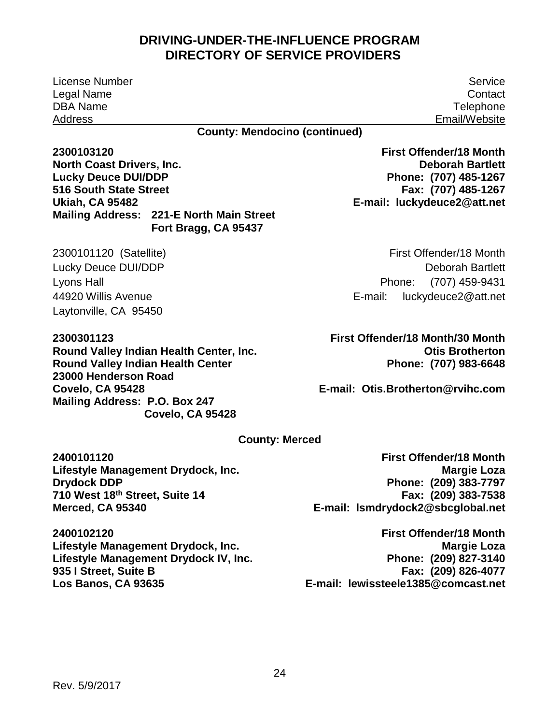#### **Lucky Deuce DUI/DDP 516 South State Street**

 **Mailing Address: 221-E North Main Street Ukiah, CA 95482 Fort Bragg, CA 95437** 

 2300101120 (Satellite) Lucky Deuce DUI/DDP Lyons Hall 44920 Willis Avenue Laytonville, CA 95450

**North Coast Drivers, Inc.** 

 **Mailing Address: P.O. Box 247 2300301123 Round Valley Indian Health Center, Inc. Round Valley Indian Health Center 23000 Henderson Road Covelo, CA 95428 Covelo, CA 95428** 

### **Phone: (707) 485-1267 E-mail: [luckydeuce2@att.net](mailto:luckydeuce2@att.net)  Deborah Bartlett Fax: (707) 485-1267**

 Phone: (707) 459-9431 E-mail: First Offender/18 Month Deborah Bartlett luckydeuce2@att.net

 **Phone: (707) 983-6648 First Offender/18 Month/30 Month Otis Brotherton** 

 **E-mail: [Otis.Brotherton@rvihc.com](mailto:Otis.Brotherton@rvihc.com)** 

 **Phone: (209) 383-7797** 

**Fax: (209) 383-7538** 

**Margie Loza** 

**First Offender/18 Month**

#### **County: Merced**

**2400101120 Lifestyle Management Drydock, Inc. Drydock DDP 710 West 18th Street, Suite 14 Merced, CA 95340** 

**2400102120 Lifestyle Management Drydock, Inc. Lifestyle Management Drydock IV, Inc. 935 I Street, Suite B Los Banos, CA 93635** 

 **E-mail: [lsmdrydock2@sbcglobal.net](mailto:lsmdrydock2@sbcglobal.net)  E-mail: [lewissteele1385@comcast.net](mailto:lewissteele1385@comcast.net)  First Offender/18 Month Margie Loza Phone: (209) 827-3140 Fax: (209) 826-4077** 

License Number Service **Telephone** Email/Website

**First Offender/18 Month** 

**Contact** 

## **DRIVING-UNDER-THE-INFLUENCE PROGRAM DIRECTORY OF SERVICE PROVIDERS**

**County: Mendocino (continued)** 

Legal Name DBA Name Address

**2300103120**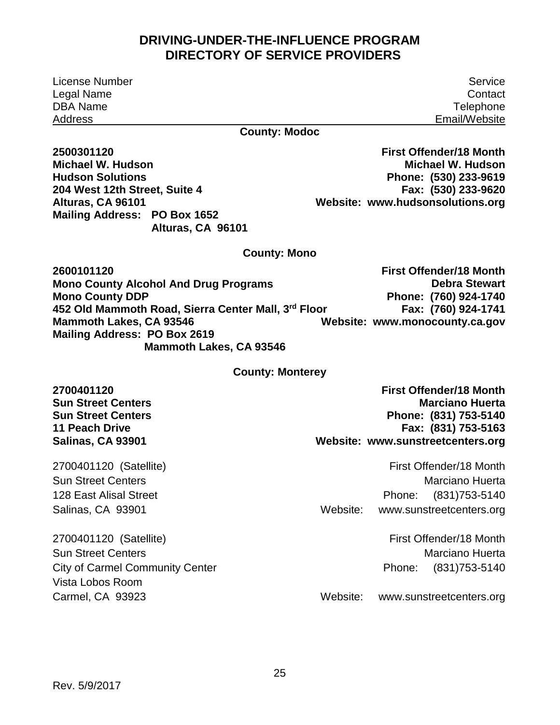License Number Legal Name DBA Name Address

Service **Contact Telephone** Email/Website

#### **County: Modoc**

**2500301120 Michael W. Hudson Hudson Solutions 204 West 12th Street, Suite 4 Alturas, CA 96101 Mailing Address: PO Box 1652 Alturas, CA 96101** 

 **Phone: (530) 233-9619 Website: [www.hudsonsolutions.org](http://www.hudsonsolutions.org/)  First Offender/18 Month Michael W. Hudson Fax: (530) 233-9620** 

#### **County: Mono**

 **Mono County Alcohol And Drug Programs Mailing Address: PO Box 2619 Website: [www.monocounty.ca.gov](http://www.monocounty.ca.gov/)  2600101120 Mono County DDP 452 Old Mammoth Road, Sierra Center Mall, 3 Mammoth Lakes, CA 93546 Mammoth Lakes, CA 93546 First Offender/18 Month Debra Stewart Phone: (760) 924-1740 Fax: (760) 924-1741** 

#### **County: Monterey**

**2700401120 Sun Street Centers Sun Street Centers 11 Peach Drive Salinas, CA 93901** 

2700401120 (Satellite) Sun Street Centers 128 East Alisal Street Salinas, CA 93901

 **Phone: (831) 753-5140 Website: [www.sunstreetcenters.org](http://www.sunstreetcenters.org/)  First Offender/18 Month Marciano Huerta Fax: (831) 753-5163** 

Phone: Website: First Offender/18 Month Marciano Huerta Phone: (831)753-5140 www.sunstreetcenters.org

2700401120 (Satellite) Sun Street Centers City of Carmel Community Center Vista Lobos Room Carmel, CA 93923

Phone: First Offender/18 Month Marciano Huerta Phone: (831)753-5140

Website: [www.sunstreetcenters.org](http://www.sunstreetcenters.org/)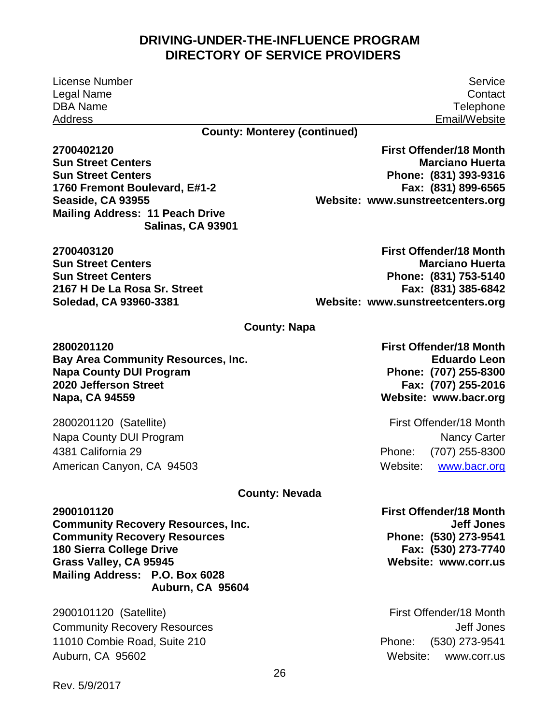License Number Service Legal Name Contact DBA Name Telephone Address Email/Website

#### **County: Monterey (continued)**

**2700402120 Sun Street Centers Sun Street Centers 1760 Fremont Boulevard, E#1-2 Seaside, CA 93955 Mailing Address: 11 Peach Drive Salinas, CA 93901** 

**2700403120 Sun Street Centers Sun Street Centers 2167 H De La Rosa Sr. Street Soledad, CA 93960-3381** 

 **Phone: (831) 393-9316 Website: [www.sunstreetcenters.org](http://www.sunstreetcenters.org/)  First Offender/18 Month Marciano Huerta Fax: (831) 899-6565** 

 **Phone: (831) 753-5140 Website: [www.sunstreetcenters.org](http://www.sunstreetcenters.org/)  First Offender/18 Month Marciano Huerta Fax: (831) 385-6842** 

#### **County: Napa**

**2800201120 Bay Area Community Resources, Inc. Napa County DUI Program 2020 Jefferson Street Napa, CA 94559** 

2800201120 (Satellite) Napa County DUI Program 4381 California 29 American Canyon, CA 94503

#### **County: Nevada**

**2900101120 Community Recovery Resources, Inc. Community Recovery Resources 180 Sierra College Drive Grass Valley, CA 95945 Mailing Address: P.O. Box 6028 Auburn, CA 95604** 

2900101120 (Satellite) Community Recovery Resources 11010 Combie Road, Suite 210 Auburn, CA 95602

 **Phone: (707) 255-8300 First Offender/18 Month Eduardo Leon Fax: (707) 255-2016 Website: [www.bacr.org](http://www.bacr.org/)** 

Phone: Website: First Offender/18 Month Nancy Carter Phone: (707) 255-8300 www.bacr.org

**First Offender/18 Month Jeff Jones Phone: (530) 273-9541 Fax: (530) 273-7740 Website: [www.corr.us](http://www.corr.us/)** 

Phone: First Offender/18 Month Jeff Jones Phone: (530) 273-9541 Website: www.corr.us

Rev. 5/9/2017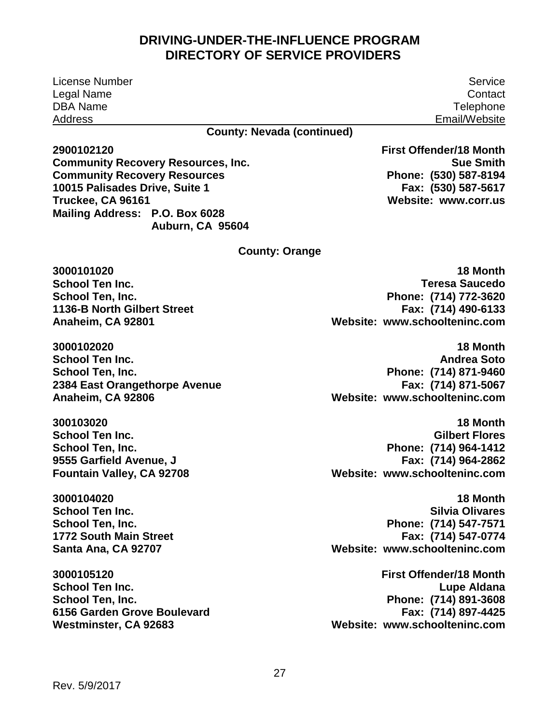License Number Legal Name DBA Name Address

Service **Contact Telephone** Email/Website

**Sue Smith**

 **Phone: (530) 587-8194**

**Fax: (530) 587-5617**

**First Offender/18 Month**

 **Website: [www.corr.us](http://www.corr.us/)**

#### **County: Nevada (continued)**

**2900102120 Community Recovery Resources, Inc. Community Recovery Resources 10015 Palisades Drive, Suite 1 Truckee, CA 96161 Mailing Address: P.O. Box 6028 Auburn, CA 95604**

**County: Orange** 

**3000101020 School Ten Inc. School Ten, Inc. 1136-B North Gilbert Street Anaheim, CA 92801**

**3000102020 School Ten Inc. School Ten, Inc. 2384 East Orangethorpe Avenue Anaheim, CA 92806**

**300103020 School Ten Inc. School Ten, Inc. 9555 Garfield Avenue, J Fountain Valley, CA 92708**

**3000104020 School Ten Inc. School Ten, Inc. 1772 South Main Street Santa Ana, CA 92707**

**3000105120 School Ten Inc. School Ten, Inc. 6156 Garden Grove Boulevard Westminster, CA 92683**

 **Website: [www.schoolteninc.com](http://www.schoolteninc.com/)  18 Month Teresa Saucedo Phone: (714) 772-3620 Fax: (714) 490-6133**

 **Phone: (714) 871-9460 Website: [www.schoolteninc.com](http://www.schoolteninc.com/) 18 Month Andrea Soto Fax: (714) 871-5067**

 **Phone: (714) 964-1412 Website: [www.schoolteninc.com](http://www.schoolteninc.com/) 18 Month Gilbert Flores Fax: (714) 964-2862**

 **Phone: (714) 547-7571 Website: [www.schoolteninc.com](http://www.schoolteninc.com/) 18 Month Silvia Olivares Fax: (714) 547-0774**

 **Phone: (714) 891-3608 Website: [www.schoolteninc.com](http://www.schoolteninc.com/) First Offender/18 Month Lupe Aldana Fax: (714) 897-4425**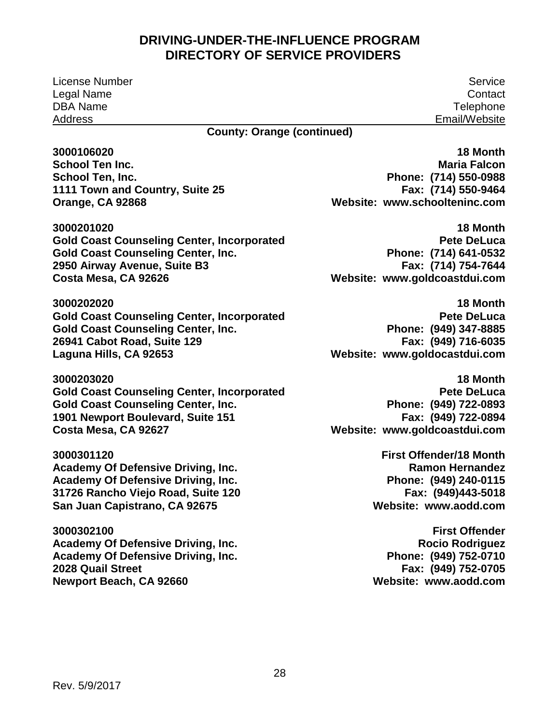License Number Service Legal Name DBA Name Address

**Contact Telephone** Email/Website

#### **County: Orange (continued)**

**3000106020 School Ten Inc. School Ten, Inc. 1111 Town and Country, Suite 25 Orange, CA 92868** 

**3000201020 Gold Coast Counseling Center, Incorporated Gold Coast Counseling Center, Inc. 2950 Airway Avenue, Suite B3 Costa Mesa, CA 92626** 

**3000202020 Gold Coast Counseling Center, Incorporated Gold Coast Counseling Center, Inc. 26941 Cabot Road, Suite 129 Laguna Hills, CA 92653** 

**3000203020 Gold Coast Counseling Center, Incorporated Gold Coast Counseling Center, Inc. 1901 Newport Boulevard, Suite 151 Costa Mesa, CA 92627** 

**3000301120 Academy Of Defensive Driving, Inc. Academy Of Defensive Driving, Inc. 31726 Rancho Viejo Road, Suite 120 San Juan Capistrano, CA 92675** 

**3000302100 Academy Of Defensive Driving, Inc. Academy Of Defensive Driving, Inc. 2028 Quail Street Newport Beach, CA 92660** 

 **Phone: (714) 550-0988 Website: [www.schoolteninc.com](http://www.schoolteninc.com/)  18 Month Maria Falcon Fax: (714) 550-9464** 

 **Phone: (714) 641-0532 Website: [www.goldcoastdui.com](http://www.goldcoastdui.com/)  18 Month Pete DeLuca Fax: (714) 754-7644** 

 **Website: [www.goldocastdui.com](http://www.goldocastdui.com/)  18 Month Pete DeLuca Phone: (949) 347-8885 Fax: (949) 716-6035** 

 **Phone: (949) 722-0893 Website: [www.goldcoastdui.com](http://www.goldcoastdui.com/)  18 Month Pete DeLuca Fax: (949) 722-0894** 

> **Fax: (949)443-5018 First Offender/18 Month Ramon Hernandez Phone: (949) 240-0115 Website: [www.aodd.com](http://www.aodd.com/)**

> **Rocio Rodriguez First Offender Phone: (949) 752-0710 Fax: (949) 752-0705 Website: [www.aodd.com](http://www.aodd.com/)**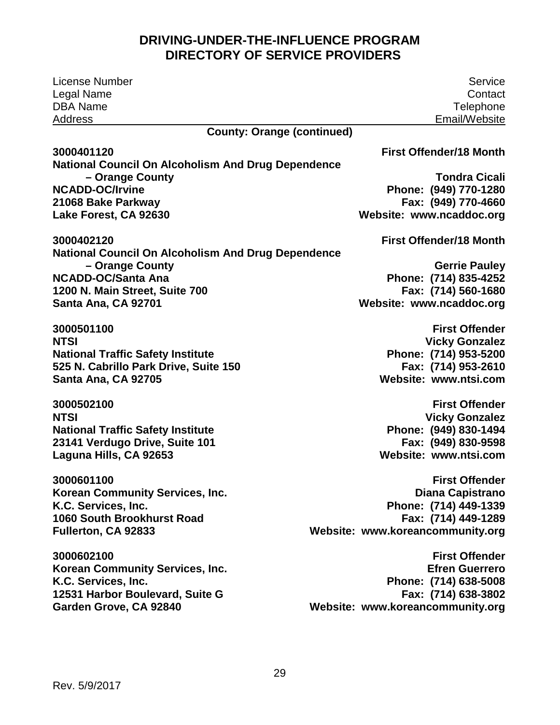| License Number<br>Legal Name<br><b>DBA Name</b>           | Service<br>Contact<br>Telephone  |
|-----------------------------------------------------------|----------------------------------|
| <b>Address</b><br><b>County: Orange (continued)</b>       | Email/Website                    |
| 3000401120                                                | <b>First Offender/18 Month</b>   |
| <b>National Council On Alcoholism And Drug Dependence</b> |                                  |
| - Orange County                                           | <b>Tondra Cicali</b>             |
| <b>NCADD-OC/Irvine</b>                                    | Phone: (949) 770-1280            |
| 21068 Bake Parkway                                        | Fax: (949) 770-4660              |
| Lake Forest, CA 92630                                     | Website: www.ncaddoc.org         |
| 3000402120                                                | <b>First Offender/18 Month</b>   |
| <b>National Council On Alcoholism And Drug Dependence</b> |                                  |
| - Orange County                                           | <b>Gerrie Pauley</b>             |
| <b>NCADD-OC/Santa Ana</b>                                 | Phone: (714) 835-4252            |
| 1200 N. Main Street, Suite 700                            | Fax: (714) 560-1680              |
| Santa Ana, CA 92701                                       | Website: www.ncaddoc.org         |
| 3000501100                                                | <b>First Offender</b>            |
| <b>NTSI</b>                                               | <b>Vicky Gonzalez</b>            |
| <b>National Traffic Safety Institute</b>                  | Phone: (714) 953-5200            |
| 525 N. Cabrillo Park Drive, Suite 150                     | Fax: (714) 953-2610              |
| Santa Ana, CA 92705                                       | Website: www.ntsi.com            |
| 3000502100                                                | <b>First Offender</b>            |
| <b>NTSI</b>                                               | <b>Vicky Gonzalez</b>            |
| <b>National Traffic Safety Institute</b>                  | Phone: (949) 830-1494            |
| 23141 Verdugo Drive, Suite 101                            | Fax: (949) 830-9598              |
| Laguna Hills, CA 92653                                    | Website: www.ntsi.com            |
|                                                           |                                  |
| 3000601100                                                | <b>First Offender</b>            |
| Korean Community Services, Inc.                           | Diana Capistrano                 |
| K.C. Services, Inc.                                       | Phone: (714) 449-1339            |
| 1060 South Brookhurst Road                                | Fax: (714) 449-1289              |
| Fullerton, CA 92833                                       | Website: www.koreancommunity.org |
| 3000602100                                                | <b>First Offender</b>            |
| Korean Community Services, Inc.                           | <b>Efren Guerrero</b>            |
| K.C. Services, Inc.                                       | Phone: (714) 638-5008            |
| 12531 Harbor Boulevard, Suite G                           | Fax: (714) 638-3802              |
| Garden Grove, CA 92840                                    | Website: www.koreancommunity.org |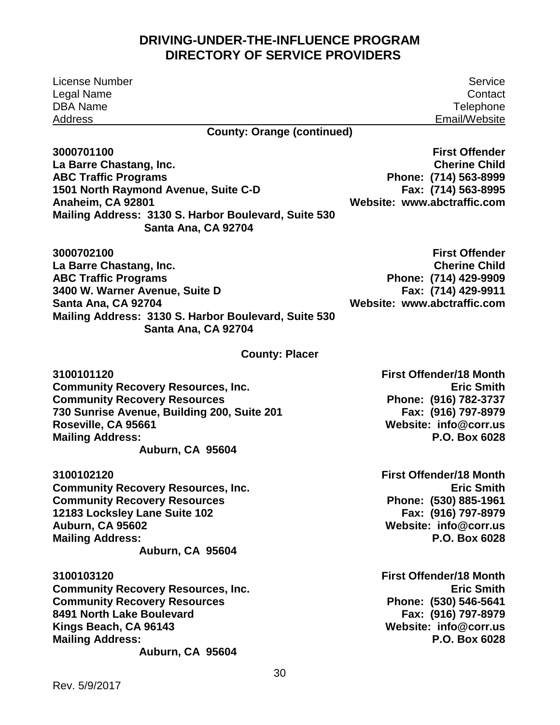| License Number                                                              | Service                        |
|-----------------------------------------------------------------------------|--------------------------------|
| Legal Name                                                                  | Contact                        |
| <b>DBA Name</b>                                                             | Telephone                      |
| Address                                                                     | Email/Website                  |
| <b>County: Orange (continued)</b>                                           |                                |
| 3000701100                                                                  | <b>First Offender</b>          |
| La Barre Chastang, Inc.                                                     | <b>Cherine Child</b>           |
| <b>ABC Traffic Programs</b>                                                 | Phone: (714) 563-8999          |
| 1501 North Raymond Avenue, Suite C-D                                        | Fax: (714) 563-8995            |
| Anaheim, CA 92801                                                           | Website: www.abctraffic.com    |
| Mailing Address: 3130 S. Harbor Boulevard, Suite 530<br>Santa Ana, CA 92704 |                                |
| 3000702100                                                                  | <b>First Offender</b>          |
| La Barre Chastang, Inc.                                                     | <b>Cherine Child</b>           |
| <b>ABC Traffic Programs</b>                                                 | Phone: (714) 429-9909          |
| 3400 W. Warner Avenue, Suite D                                              | Fax: (714) 429-9911            |
| Santa Ana, CA 92704                                                         | Website: www.abctraffic.com    |
| Mailing Address: 3130 S. Harbor Boulevard, Suite 530<br>Santa Ana, CA 92704 |                                |
| <b>County: Placer</b>                                                       |                                |
| 3100101120                                                                  | <b>First Offender/18 Month</b> |
| <b>Community Recovery Resources, Inc.</b>                                   | <b>Eric Smith</b>              |
| <b>Community Recovery Resources</b>                                         | Phone: (916) 782-3737          |
| 730 Sunrise Avenue, Building 200, Suite 201                                 | Fax: (916) 797-8979            |
| Roseville, CA 95661                                                         | Website: info@corr.us          |
| <b>Mailing Address:</b>                                                     | P.O. Box 6028                  |
| Auburn, CA 95604                                                            |                                |
| 3100102120                                                                  | <b>First Offender/18 Month</b> |
| <b>Community Recovery Resources, Inc.</b>                                   | <b>Eric Smith</b>              |
| <b>Community Recovery Resources</b>                                         | Phone: (530) 885-1961          |
| 12183 Locksley Lane Suite 102                                               | Fax: (916) 797-8979            |
| <b>Auburn, CA 95602</b>                                                     | Website: info@corr.us          |
| <b>Mailing Address:</b>                                                     | P.O. Box 6028                  |
| Auburn, CA 95604                                                            |                                |
| 3100103120                                                                  | <b>First Offender/18 Month</b> |
| <b>Community Recovery Resources, Inc.</b>                                   | <b>Eric Smith</b>              |
| <b>Community Recovery Resources</b>                                         | Phone: (530) 546-5641          |
| 8491 North Lake Boulevard                                                   | Fax: (916) 797-8979            |
| Kings Beach, CA 96143                                                       | Website: info@corr.us          |
| <b>Mailing Address:</b>                                                     | P.O. Box 6028                  |
| Auburn, CA 95604                                                            |                                |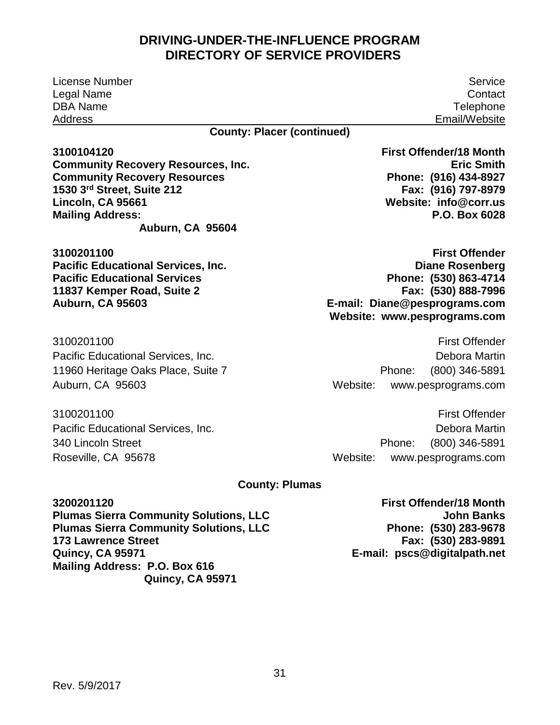License Number Legal Name DBA Name Address

Service **Contact Telephone** Email/Website

#### **County: Placer (continued)**

**3100104120 Community Recovery Resources, Inc. Community Recovery Resources 1530 3rd Street, Suite 212 Lincoln, CA 95661 Mailing Address: Auburn, CA 95604** 

**3100201100 Pacific Educational Services, Inc. Pacific Educational Services 11837 Kemper Road, Suite 2 Auburn, CA 95603** 

3100201100 Pacific Educational Services, Inc. 11960 Heritage Oaks Place, Suite 7 Auburn, CA 95603

3100201100 Pacific Educational Services, Inc. 340 Lincoln Street Roseville, CA 95678

 **Phone: (916) 434-8927 Website: [info@corr.us](mailto:info@corr.us)  First Offender/18 Month Eric Smith Fax: (916) 797-8979 P.O. Box 6028** 

 **Phone: (530) 863-4714 Website: [www.pesprograms.com](http://www.pesprograms.com/)  First Offender Diane Rosenberg Fax: (530) 888-7996 E-mail: Diane@pesprograms.com** 

 First Offender Phone: Website: Debora Martin Phone: (800) 346-5891 www.pesprograms.com

Phone: Website: First Offender Debora Martin Phone: (800) 346-5891 www.pesprograms.com

#### **County: Plumas**

**3200201120 Plumas Sierra Community Solutions, LLC Plumas Sierra Community Solutions, LLC 173 Lawrence Street Quincy, CA 95971 Mailing Address: P.O. Box 616 Quincy, CA 95971** 

 **John Banks Phone: (530) 283-9678 E-mail: [pscs@digitalpath.net](mailto:pscs@digitalpath.net)  First Offender/18 Month Fax: (530) 283-9891**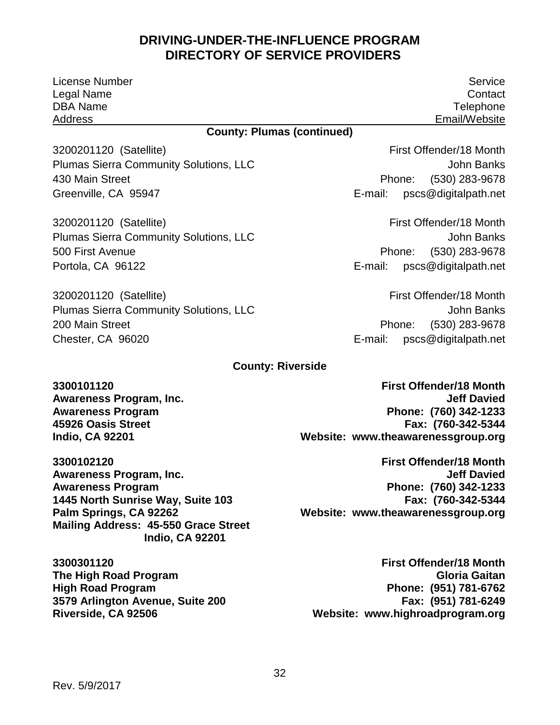| <b>License Number</b>                                                                    | Service                            |  |  |
|------------------------------------------------------------------------------------------|------------------------------------|--|--|
| Legal Name                                                                               | Contact                            |  |  |
| <b>DBA Name</b>                                                                          | Telephone                          |  |  |
| <b>Address</b>                                                                           | Email/Website                      |  |  |
| <b>County: Plumas (continued)</b>                                                        |                                    |  |  |
| 3200201120 (Satellite)                                                                   | First Offender/18 Month            |  |  |
| <b>Plumas Sierra Community Solutions, LLC</b>                                            | <b>John Banks</b>                  |  |  |
| 430 Main Street                                                                          | $(530)$ 283-9678<br>Phone:         |  |  |
| Greenville, CA 95947                                                                     | pscs@digitalpath.net<br>E-mail:    |  |  |
| 3200201120 (Satellite)                                                                   | First Offender/18 Month            |  |  |
| <b>Plumas Sierra Community Solutions, LLC</b>                                            | John Banks                         |  |  |
| 500 First Avenue                                                                         | (530) 283-9678<br>Phone:           |  |  |
| Portola, CA 96122                                                                        | E-mail: pscs@digitalpath.net       |  |  |
| 3200201120 (Satellite)                                                                   | First Offender/18 Month            |  |  |
| <b>Plumas Sierra Community Solutions, LLC</b>                                            | <b>John Banks</b>                  |  |  |
| 200 Main Street                                                                          | (530) 283-9678<br>Phone:           |  |  |
| Chester, CA 96020                                                                        | E-mail:<br>pscs@digitalpath.net    |  |  |
| <b>County: Riverside</b>                                                                 |                                    |  |  |
| 3300101120                                                                               | <b>First Offender/18 Month</b>     |  |  |
| Awareness Program, Inc.                                                                  | <b>Jeff Davied</b>                 |  |  |
| <b>Awareness Program</b>                                                                 | Phone: (760) 342-1233              |  |  |
| 45926 Oasis Street                                                                       | Fax: (760-342-5344                 |  |  |
| <b>Indio, CA 92201</b>                                                                   | Website: www.theawarenessgroup.org |  |  |
| 3300102120                                                                               | <b>First Offender/18 Month</b>     |  |  |
| Awareness Program, Inc.                                                                  | <b>Jeff Davied</b>                 |  |  |
| <b>Awareness Program</b>                                                                 | Phone: (760) 342-1233              |  |  |
| 1445 North Sunrise Way, Suite 103                                                        | Fax: (760-342-5344                 |  |  |
| Palm Springs, CA 92262<br>Mailing Address: 45-550 Grace Street<br><b>Indio, CA 92201</b> | Website: www.theawarenessgroup.org |  |  |
| 3300301120                                                                               | <b>First Offender/18 Month</b>     |  |  |
| The High Road Program                                                                    | <b>Gloria Gaitan</b>               |  |  |

 **Website: [www.highroadprogram.org](http://www.highroadprogram.org/)  Gloria Gaitan Phone: (951) 781-6762 Fax: (951) 781-6249** 

**High Road Program** 

**Riverside, CA 92506** 

**3579 Arlington Avenue, Suite 200**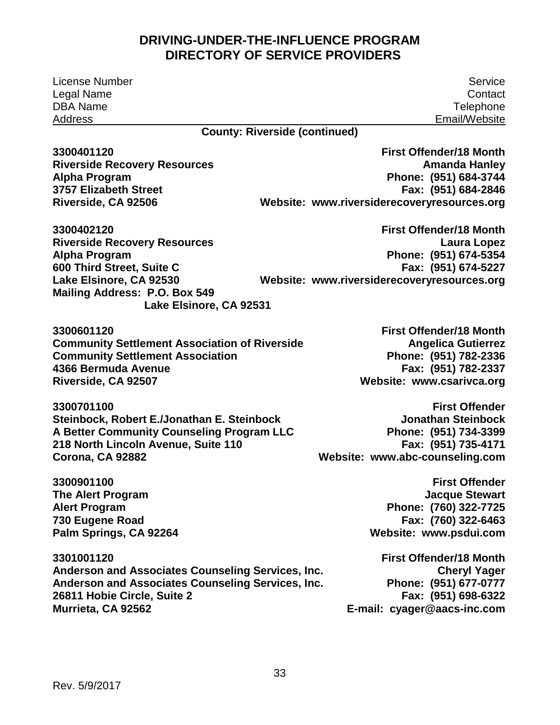**Phone: (951) 684-3744 Website: [www.riversiderecoveryresources.org](http://www.riversiderecoveryresources.org/)  Mailing Address: P.O. Box 549 Phone: (951) 674-5354 Website: [www.riversiderecoveryresources.org](http://www.riversiderecoveryresources.org/)  Website: [www.csarivca.org](http://www.csarivca.org/)  Phone: (951) 734-3399 Website: [www.abc-counseling.com](http://www.abc-counseling.com/)  Phone: (760) 322-7725 Website: [www.psdui.com](http://www.psdui.com/)  Phone: (951) 677-0777 E-mail: [cyager@aacs-inc.com](mailto:cyager@aacs-inc.com)**  License Number Legal Name DBA Name Address Service **Contact Telephone** Email/Website **County: Riverside (continued) 3300401120 Riverside Recovery Resources Alpha Program 3757 Elizabeth Street Riverside, CA 92506 First Offender/18 Month Amanda Hanley Fax: (951) 684-2846 3300402120 Riverside Recovery Resources Alpha Program 600 Third Street, Suite C Lake Elsinore, CA 92530 Lake Elsinore, CA 92531 First Offender/18 Month Laura Lopez Fax: (951) 674-5227 3300601120 Community Settlement Association of Riverside Community Settlement Association 4366 Bermuda Avenue Riverside, CA 92507 First Offender/18 Month Angelica Gutierrez Phone: (951) 782-2336 Fax: (951) 782-2337 3300701100 Steinbock, Robert E./Jonathan E. Steinbock A Better Community Counseling Program LLC 218 North Lincoln Avenue, Suite 110 Corona, CA 92882 First Offender Jonathan Steinbock Fax: (951) 735-4171 3300901100 The Alert Program Alert Program 730 Eugene Road Palm Springs, CA 92264 First Offender Jacque Stewart Fax: (760) 322-6463 3301001120 Anderson and Associates Counseling Services, Inc. Anderson and Associates Counseling Services, Inc. 26811 Hobie Circle, Suite 2 Murrieta, CA 92562 First Offender/18 Month Cheryl Yager Fax: (951) 698-6322**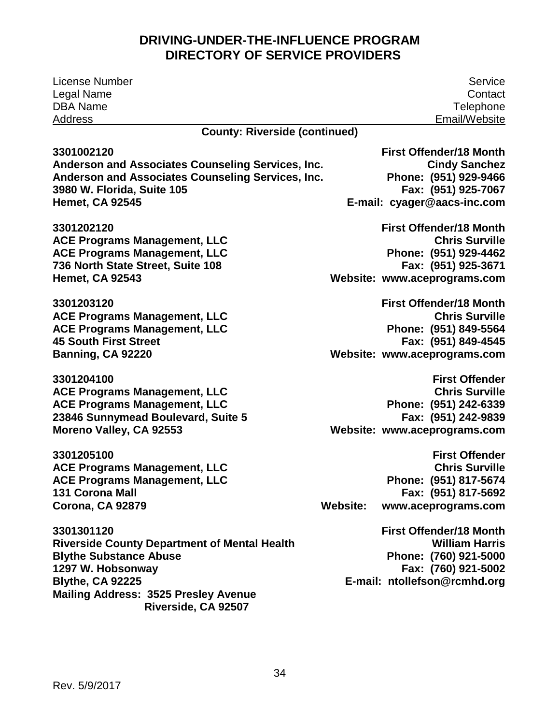| <b>License Number</b>                               | Service                                |
|-----------------------------------------------------|----------------------------------------|
| Legal Name                                          | Contact                                |
| <b>DBA Name</b>                                     | Telephone                              |
| Address                                             | Email/Website                          |
| <b>County: Riverside (continued)</b>                |                                        |
| 3301002120                                          | <b>First Offender/18 Month</b>         |
| Anderson and Associates Counseling Services, Inc.   | <b>Cindy Sanchez</b>                   |
| Anderson and Associates Counseling Services, Inc.   | Phone: (951) 929-9466                  |
| 3980 W. Florida, Suite 105                          | Fax: (951) 925-7067                    |
| <b>Hemet, CA 92545</b>                              | E-mail: cyager@aacs-inc.com            |
| 3301202120                                          | <b>First Offender/18 Month</b>         |
| <b>ACE Programs Management, LLC</b>                 | <b>Chris Surville</b>                  |
| <b>ACE Programs Management, LLC</b>                 | Phone: (951) 929-4462                  |
| 736 North State Street, Suite 108                   | Fax: (951) 925-3671                    |
| <b>Hemet, CA 92543</b>                              | Website: www.aceprograms.com           |
| 3301203120                                          | <b>First Offender/18 Month</b>         |
| <b>ACE Programs Management, LLC</b>                 | <b>Chris Surville</b>                  |
| <b>ACE Programs Management, LLC</b>                 | Phone: (951) 849-5564                  |
| <b>45 South First Street</b>                        | Fax: (951) 849-4545                    |
| Banning, CA 92220                                   | Website: www.aceprograms.com           |
| 3301204100                                          | <b>First Offender</b>                  |
| <b>ACE Programs Management, LLC</b>                 | <b>Chris Surville</b>                  |
| <b>ACE Programs Management, LLC</b>                 | Phone: (951) 242-6339                  |
| 23846 Sunnymead Boulevard, Suite 5                  | Fax: (951) 242-9839                    |
| Moreno Valley, CA 92553                             | Website: www.aceprograms.com           |
| 3301205100                                          | <b>First Offender</b>                  |
| <b>ACE Programs Management, LLC</b>                 | <b>Chris Surville</b>                  |
| <b>ACE Programs Management, LLC</b>                 | Phone: (951) 817-5674                  |
| 131 Corona Mall                                     | Fax: (951) 817-5692                    |
| <b>Corona, CA 92879</b>                             | <b>Website:</b><br>www.aceprograms.com |
| 3301301120                                          | <b>First Offender/18 Month</b>         |
| <b>Riverside County Department of Mental Health</b> | <b>William Harris</b>                  |
| <b>Blythe Substance Abuse</b>                       | Phone: (760) 921-5000                  |
| 1297 W. Hobsonway                                   | Fax: (760) 921-5002                    |
| <b>Blythe, CA 92225</b>                             | E-mail: ntollefson@rcmhd.org           |
| <b>Mailing Address: 3525 Presley Avenue</b>         |                                        |
| Riverside, CA 92507                                 |                                        |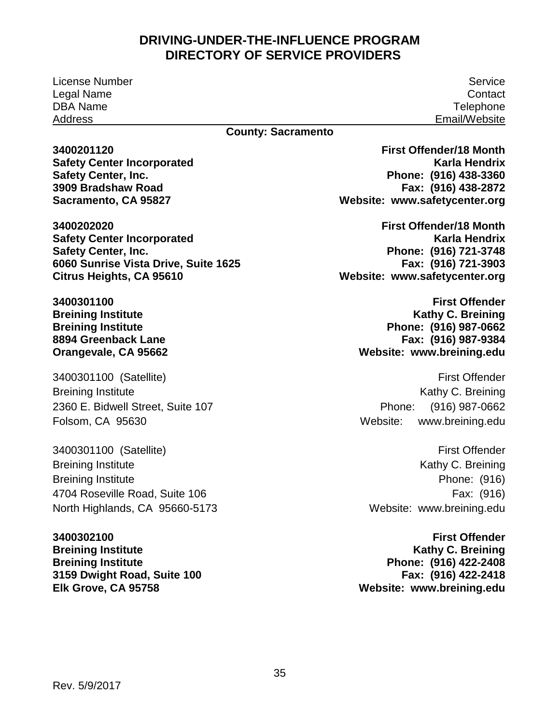License Number Legal Name DBA Name Address

Service **Contact Telephone** Email/Website

#### **County: Sacramento**

**3400201120 Safety Center Incorporated Safety Center, Inc. 3909 Bradshaw Road Sacramento, CA 95827**

**3400202020 Safety Center Incorporated Safety Center, Inc. 6060 Sunrise Vista Drive, Suite 1625 Citrus Heights, CA 95610**

**3400301100 Breining Institute Breining Institute 8894 Greenback Lane Orangevale, CA 95662**

 3400301100 (Satellite) Breining Institute 2360 E. Bidwell Street, Suite 107 Folsom, CA 95630

 3400301100 (Satellite) Breining Institute Breining Institute 4704 Roseville Road, Suite 106 North Highlands, CA 95660-5173

 **3159 Dwight Road, Suite 100 3400302100 Breining Institute Breining Institute Elk Grove, CA 95758**

 **Phone: (916) 438-3360 Website: [www.safetycenter.org](http://www.safetycenter.org/) First Offender/18 Month Karla Hendrix Fax: (916) 438-2872**

 **Phone: (916) 721-3748 Website: [www.safetycenter.org](http://www.safetycenter.org/) First Offender/18 Month Karla Hendrix Fax: (916) 721-3903**

> **Website: [www.breining.edu](http://www.breining.edu/) First Offender Kathy C. Breining Phone: (916) 987-0662 Fax: (916) 987-9384**

> Phone: Website: First Offender Kathy C. Breining (916) 987-0662 [www.breining.edu](http://www.breining.edu/)

 Website: [www.breining.edu](http://www.breining.edu/)  First Offender Kathy C. Breining Phone: (916) Fax: (916)

 **Website: [www.breining.edu](http://www.breining.edu/) First Offender Kathy C. Breining Phone: (916) 422-2408 Fax: (916) 422-2418**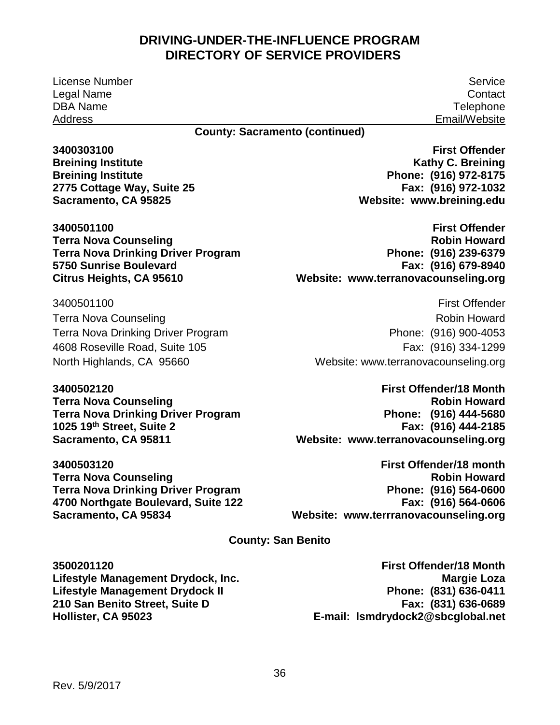License Number Service Legal Name DBA Name Address

**Contact Telephone** Email/Website

**County: Sacramento (continued)** 

**3400303100 Breining Institute Breining Institute 2775 Cottage Way, Suite 25 Sacramento, CA 95825** 

**3400501100 Terra Nova Counseling Terra Nova Drinking Driver Program 5750 Sunrise Boulevard Citrus Heights, CA 95610** 

 Terra Nova Drinking Driver Program 3400501100 Terra Nova Counseling 4608 Roseville Road, Suite 105 North Highlands, CA 95660

**3400502120 Terra Nova Counseling Terra Nova Drinking Driver Program 1025 19th Street, Suite 2 Sacramento, CA 95811** 

**3400503120 Terra Nova Counseling Terra Nova Drinking Driver Program 4700 Northgate Boulevard, Suite 122 Sacramento, CA 95834** 

 **Phone: (916) 972-8175 Website: [www.breining.edu](http://www.breining.edu/)  First Offender Kathy C. Breining Fax: (916) 972-1032** 

 **Phone: (916) 239-6379 First Offender Robin Howard Fax: (916) 679-8940 Website: [www.terranovacounseling.org](http://www.terranovacounseling.org/)** 

First Offender Robin Howard Phone: (916) 900-4053 Fax: (916) 334-1299 Website: www.terranovacounseling.org

 **Phone: (916) 444-5680 Website: [www.terranovacounseling.org](http://www.terranovacounseling.org/)  First Offender/18 Month Robin Howard Fax: (916) 444-2185** 

 **Phone: (916) 564-0600 Website: [www.terrranovacounseling.org](http://www.terrranovacounseling.org/)  First Offender/18 month Robin Howard Fax: (916) 564-0606** 

**County: San Benito** 

**3500201120 Lifestyle Management Drydock, Inc. Lifestyle Management Drydock II 210 San Benito Street, Suite D Hollister, CA 95023** 

 **Phone: (831) 636-0411 First Offender/18 Month Margie Loza Fax: (831) 636-0689 E-mail: [lsmdrydock2@sbcglobal.net](mailto:lsmdrydock2@sbcglobal.net)**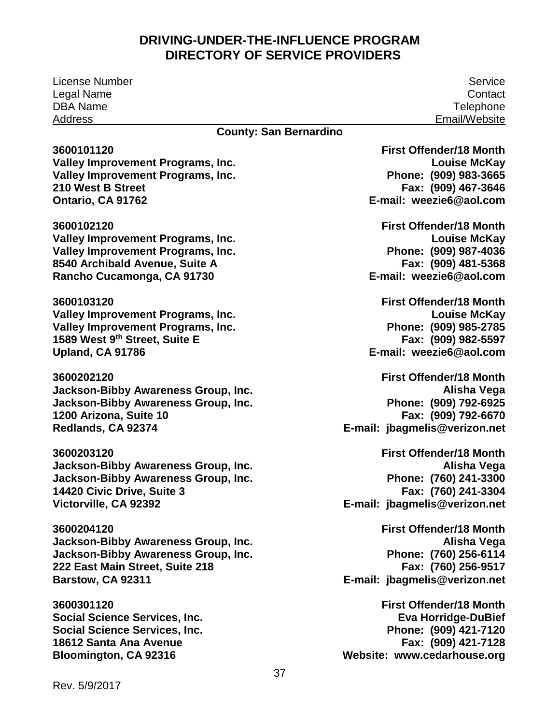License Number Legal Name DBA Name Address

#### **County: San Bernardino**

**3600101120 Valley Improvement Programs, Inc. Valley Improvement Programs, Inc. 210 West B Street Ontario, CA 91762 3600102120 Valley Improvement Programs, Inc. Valley Improvement Programs, Inc. 8540 Archibald Avenue, Suite A Rancho Cucamonga, CA 91730 3600103120 Valley Improvement Programs, Inc. Valley Improvement Programs, Inc. 1589 West 9th Street, Suite E Upland, CA 91786 3600202120 Jackson-Bibby Awareness Group, Inc. Jackson-Bibby Awareness Group, Inc. [1200 Arizona, Suite 10](#page-14-0) Redlands, CA 92374 3600203120 Jackson-Bibby Awareness Group, Inc. Jackson-Bibby Awareness Group, Inc. [14420 Civic Drive, Suite 3](#page-7-0) Victorville, CA 92392 3600204120 Jackson-Bibby Awareness Group, Inc. Jackson-Bibby Awareness Group, Inc. 222 East Main Street, Suite 218 Barstow, CA 92311 3600301120**

**Social Science Services, Inc. Social Science Services, Inc. 18612 Santa Ana Avenue Bloomington, CA 92316**

 **Phone: (909) 983-3665 E-mail: [weezie6@aol.com](mailto:weezie6@aol.com) First Offender/18 Month Louise McKay Fax: (909) 467-3646 First Offender/18 Month Louise McKay**

 **Phone: (909) 987-4036 E-mail: [weezie6@aol.com](mailto:weezie6@aol.com) Fax: (909) 481-5368**

 **Phone: (909) 985-2785 E-mail: [weezie6@aol.com](mailto:weezieb@aol.com) First Offender/18 Month Louise McKay Fax: (909) 982-5597**

 **Phone: (909) 792-6925 E-mail: [jbagmelis@verizon.net](mailto:jbagmelis@verizon.net)  First Offender/18 Month Alisha Vega Fax: (909) 792-6670**

 **Phone: (760) 241-3300 E-mail: [jbagmelis@verizon.net](mailto:jbagmelis@verizon.net) First Offender/18 Month Alisha Vega Fax: (760) 241-3304**

 **Phone: (760) 256-6114 E-mail: [jbagmelis@verizon.net](mailto:jbagmelis@verizon.net) First Offender/18 Month Alisha Vega Fax: (760) 256-9517**

 **Phone: (909) 421-7120 First Offender/18 Month Eva Horridge-DuBief Fax: (909) 421-7128 Website: [www.cedarhouse.org](http://www.cedarhouse.org/)**

Rev. 5/9/2017

Service **Contact Telephone** Email/Website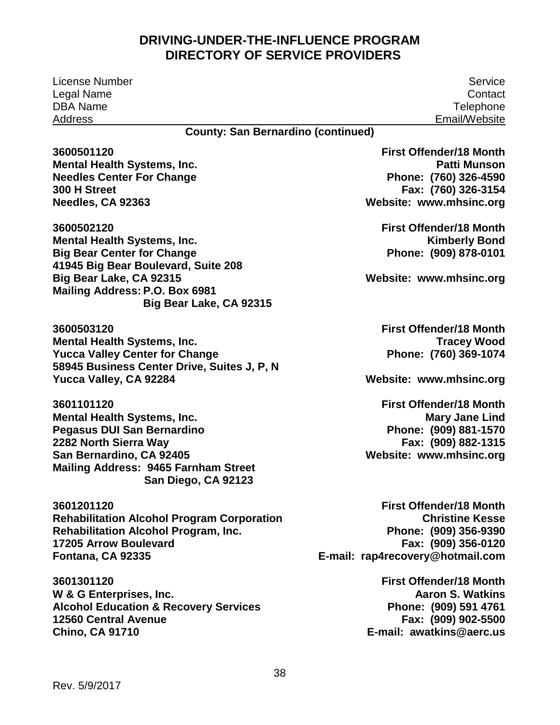License Number Service Legal Name DBA Name Address

**Contact Telephone** Email/Website

#### **County: San Bernardino (continued)**

 **Mailing Address: 9465 Farnham Street Fontana, CA 92335 3600501120 Mental Health Systems, Inc. Needles Center For Change 300 H Street Needles, CA 92363 3600502120 Mental Health Systems, Inc. Big Bear Center for Change 41945 Big Bear Boulevard, Suite 208 Big Bear Lake, CA 92315 Mailing Address: P.O. Box 6981 Big Bear Lake, CA 92315 3600503120 Mental Health Systems, Inc. Yucca Valley Center for Change 58945 Business Center Drive, Suites J, P, N Yucca Valley, CA 92284 3601101120 Mental Health Systems, Inc. Pegasus DUI San Bernardino 2282 North Sierra Way San Bernardino, CA 92405 San Diego, CA 92123 3601201120 Rehabilitation Alcohol Program Corporation Rehabilitation Alcohol Program, Inc. 17205 Arrow Boulevard First Offender/18 Month** 

 **W & G Enterprises, Inc. 3601301120 Alcohol Education & Recovery Services 12560 Central Avenue Chino, CA 91710** 

 **Phone: (760) 326-4590 Website: [www.mhsinc.org](http://www.mhsinc.org/)  First Offender/18 Month Patti Munson Fax: (760) 326-3154** 

> **First Offender/18 Month Kimberly Bond Phone: (909) 878-0101**

 **Website: [www.mhsinc.org](http://www.mhsinc.org/)** 

 **Phone: (760) 369-1074 First Offender/18 Month Tracey Wood** 

 **Website: [www.mhsinc.org](http://www.mhsinc.org/)** 

 **Website: [www.mhsinc.org](http://www.mhsinc.org/)  First Offender/18 Month Mary Jane Lind Phone: (909) 881-1570 Fax: (909) 882-1315** 

 **Phone: (909) 356-9390 E-mail: [rap4recovery@hotmail.com](mailto:rap4recovery@hotmail.com)  Christine Kesse Fax: (909) 356-0120** 

> **Phone: (909) 591 4761 E-mail: [awatkins@aerc.us](mailto:awatkins@aerc.us)  First Offender/18 Month Aaron S. Watkins Fax: (909) 902-5500**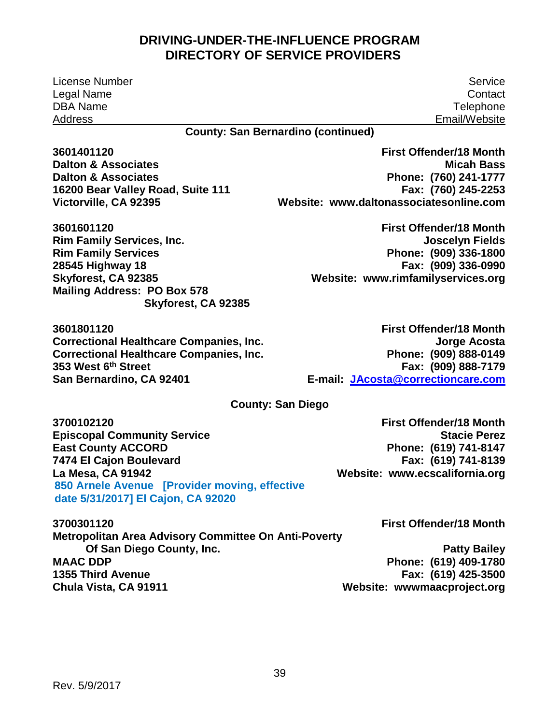**Dalton & Associates Phone: (760) 241-1777 Victorville, CA 92395 Website: [www.daltonassociatesonline.com](http://www.daltonassociatesonline.com/)  Rim Family Services Phone: (909) 336-1800 Skyforest, CA 92385 Website: [www.rimfamilyservices.org](http://www.rimfamilyservices.org/)**  353 West 6<sup>th</sup> Street<br>San Bernardino, CA 92401 Phone: (909) 888-0149  **San Bernardino, CA 92401 E-mail: [JAcosta@correctioncare.com](mailto:JAcosta@correctioncare.com)**  Phone: (619) 741-8147<br>**Fax: (619) 741-8139 La Mesa, CA 91942 Website: [www.ecscalifornia.org](http://www.ecscalifornia.org/)**  License Number Service Legal Name DBA Name Address **County: San Bernardino (continued) Contact Telephone** Email/Website **3601401120 First Offender/18 Month Dalton & Associates 16200 Bear Valley Road, Suite 111 Fax: (760) 245-2253 3601601120 First Offender/18 Month Rim Family Services, Inc. Joscelyn Fields 28545 Highway 18 Fax: (909) 336-0990 Mailing Address: PO Box 578 Skyforest, CA 92385 3601801120 First Offender/18 Month Correctional Healthcare Companies, Inc. Jorge Acosta Correctional Healthcare Companies, Inc. 353 West 6th Street Fax: (909) 888-7179 County: San Diego 3700102120 First Offender/18 Month Episcopal Community Service Stacie Perez According Stacie Perez According Stacie Perez According Stacie Perez East County ACCORD** 7474 El Cajon Boulevard<br>La Mesa, CA 91942

 **850 Arnele Avenue [Provider moving, effective date 5/31/2017] El Cajon, CA 92020** 

**3700301120 First Offender/18 Month** 

 **MAAC DDP Phone: (619) 409-1780 Chula Vista, CA 91911 Website: wwwmaacproject.org Metropolitan Area Advisory Committee On Anti-Poverty Of San Diego County, Inc.** Patty Bailey **1355 Third Avenue Fax: (619) 425-3500** 

Rev. 5/9/2017

39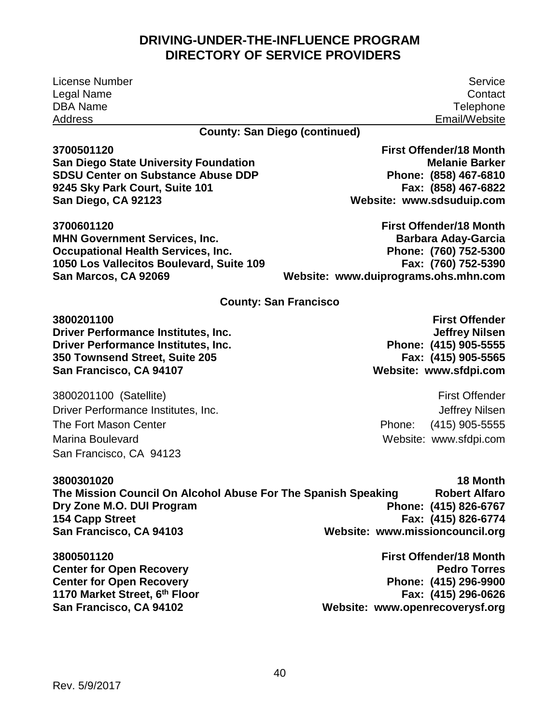| <b>License Number</b>                                         | Service                              |
|---------------------------------------------------------------|--------------------------------------|
| Legal Name                                                    | Contact                              |
| <b>DBA Name</b>                                               | Telephone                            |
| <b>Address</b>                                                | Email/Website                        |
|                                                               | <b>County: San Diego (continued)</b> |
| 3700501120                                                    | <b>First Offender/18 Month</b>       |
| <b>San Diego State University Foundation</b>                  | <b>Melanie Barker</b>                |
| <b>SDSU Center on Substance Abuse DDP</b>                     | Phone: (858) 467-6810                |
| 9245 Sky Park Court, Suite 101                                | Fax: (858) 467-6822                  |
| San Diego, CA 92123                                           | Website: www.sdsuduip.com            |
| 3700601120                                                    | <b>First Offender/18 Month</b>       |
| <b>MHN Government Services, Inc.</b>                          | <b>Barbara Aday-Garcia</b>           |
| <b>Occupational Health Services, Inc.</b>                     | Phone: (760) 752-5300                |
| 1050 Los Vallecitos Boulevard, Suite 109                      | Fax: (760) 752-5390                  |
| San Marcos, CA 92069                                          | Website: www.duiprograms.ohs.mhn.com |
|                                                               | <b>County: San Francisco</b>         |
| 3800201100                                                    | <b>First Offender</b>                |
| <b>Driver Performance Institutes, Inc.</b>                    | <b>Jeffrey Nilsen</b>                |
| <b>Driver Performance Institutes, Inc.</b>                    | Phone: (415) 905-5555                |
| 350 Townsend Street, Suite 205                                | Fax: (415) 905-5565                  |
| San Francisco, CA 94107                                       | Website: www.sfdpi.com               |
| 3800201100 (Satellite)                                        | <b>First Offender</b>                |
| Driver Performance Institutes, Inc.                           | Jeffrey Nilsen                       |
| <b>The Fort Mason Center</b>                                  | $(415)$ 905-5555<br>Phone:           |
| <b>Marina Boulevard</b>                                       | Website: www.sfdpi.com               |
| San Francisco, CA 94123                                       |                                      |
|                                                               |                                      |
| 3800301020                                                    | 18 Month                             |
| The Mission Council On Alcohol Abuse For The Spanish Speaking | <b>Robert Alfaro</b>                 |
| Dry Zone M.O. DUI Program                                     | Phone: (415) 826-6767                |
| <b>154 Capp Street</b>                                        | Fax: (415) 826-6774                  |
| San Francisco, CA 94103                                       | Website: www.missioncouncil.org      |
| 3800501120                                                    | <b>First Offender/18 Month</b>       |
| <b>Center for Open Recovery</b>                               | <b>Pedro Torres</b>                  |
| <b>Center for Open Recovery</b>                               | Phone: (415) 296-9900                |
| 1170 Market Street, 6th Floor                                 | Fax: (415) 296-0626                  |
| San Francisco, CA 94102                                       | Website: www.openrecoverysf.org      |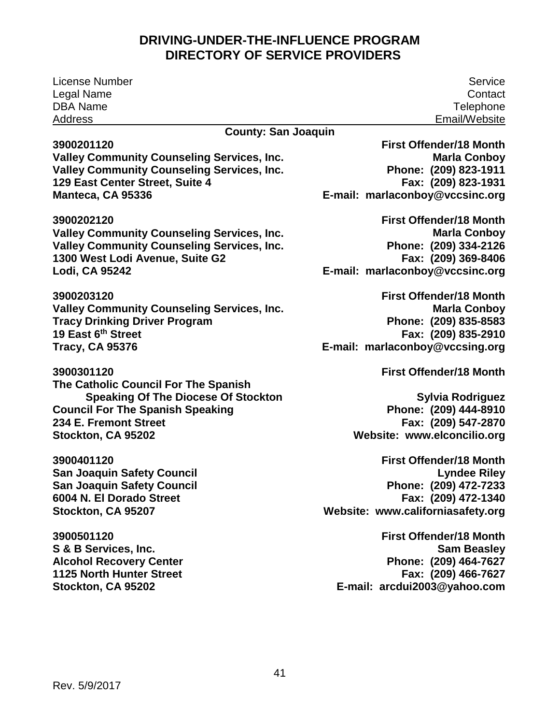License Number Service Legal Name DBA Name Address

#### **3900201120**

**Valley Community Counseling Services, Inc. Valley Community Counseling Services, Inc. 129 East Center Street, Suite 4 Manteca, CA 95336** 

**3900202120** 

**Valley Community Counseling Services, Inc. Valley Community Counseling Services, Inc. 1300 West Lodi Avenue, Suite G2 Lodi, CA 95242** 

 **19 East 6th Street 3900203120 Valley Community Counseling Services, Inc. Tracy Drinking Driver Program Tracy, CA 95376** 

**3900301120 The Catholic Council For The Spanish Speaking Of The Diocese Of Stockton Council For The Spanish Speaking 234 E. Fremont Street Stockton, CA 95202** 

**3900401120 San Joaquin Safety Council San Joaquin Safety Council 6004 N. El Dorado Street Stockton, CA 95207** 

**3900501120 S & B Services, Inc. Alcohol Recovery Center 1125 North Hunter Street Stockton, CA 95202** 

**Contact Telephone** Email/Website

#### **County: San Joaquin**

 **Phone: (209) 823-1911 E-mail: [marlaconboy@vccsinc.org](mailto:marlaconboy@vccsinc.org)  First Offender/18 Month Marla Conboy Fax: (209) 823-1931** 

 **Phone: (209) 334-2126 E-mail: [marlaconboy@vccsinc.org](mailto:marlaconboy@vccsinc.org)  First Offender/18 Month Marla Conboy Fax: (209) 369-8406** 

 **Phone: (209) 835-8583 E-mail: [marlaconboy@vccsing.org](mailto:marlaconboy@vccsing.org)  First Offender/18 Month Marla Conboy Fax: (209) 835-2910** 

**First Offender/18 Month** 

 **Phone: (209) 444-8910 Website: [www.elconcilio.org](http://www.elconcilio.org/)  Sylvia Rodriguez Fax: (209) 547-2870** 

 **Phone: (209) 472-7233 Website: [www.californiasafety.org](http://www.californiasafety.org/)  First Offender/18 Month Lyndee Riley Fax: (209) 472-1340** 

 **Phone: (209) 464-7627 E-mail: [arcdui2003@yahoo.com](mailto:arcdui2003@yahoo.com)  First Offender/18 Month Sam Beasley Fax: (209) 466-7627**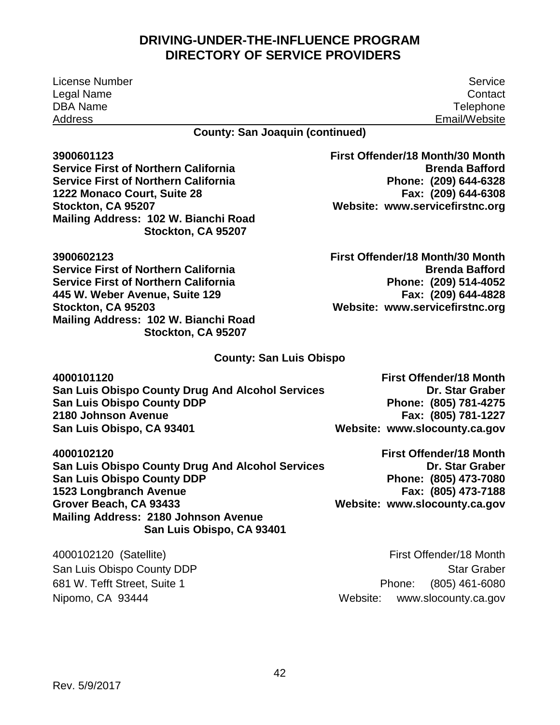License Number Service Legal Name Contact DBA Name Telephone Address **Email**Website

**County: San Joaquin (continued)** 

 **Mailing Address: 102 W. Bianchi Road Stockton, CA 95207 Website: [www.servicefirstnc.org](http://www.servicefirstnc.org/)  3900601123 First Offender/18 Month/30 Month Service First of Northern California Brenda Bafford Brenda Bafford Service First of Northern California 1222 Monaco Court, Suite 28 Fax: (209) 644-6308 Stockton, CA 95207** 

 **445 W. Weber Avenue, Suite 129 Fax: (209) 644-4828 Mailing Address: 102 W. Bianchi Road Stockton, CA 95203 Website: [www.servicefirstnc.org](http://www.servicefirstnc.org/)  3900602123 First Offender/18 Month/30 Month Service First of Northern California Brenda Bafford Brenda Bafford Service First of Northern California Stockton, CA 95207** 

Phone: (209) 644-6328

Phone: (209) 514-4052<br>**Fax: (209) 644-4828** 

#### **County: San Luis Obispo**

| 4000101120                                              | <b>First Offender/18 Month</b> |
|---------------------------------------------------------|--------------------------------|
| <b>San Luis Obispo County Drug And Alcohol Services</b> | Dr. Star Graber                |
| <b>San Luis Obispo County DDP</b>                       | Phone: (805) 781-4275          |
| 2180 Johnson Avenue                                     | Fax: (805) 781-1227            |
| San Luis Obispo, CA 93401                               | Website: www.slocounty.ca.gov  |

 **Grover Beach, CA 93433 Website: [www.slocounty.ca.gov](http://www.slocounty.ca.gov/)  4000102120 First Offender/18 Month**  San Luis Obispo County Drug And Alcohol Services **Dr. Star Graber** Dr. Star Graber **San Luis Obispo County DDP 1523 Longbranch Avenue<br>Grover Beach, CA 93433 Mailing Address: 2180 Johnson Avenue San Luis Obispo, CA 93401** 

Phone: (805) 473-7080<br>**Fax: (805) 473-7188** 

Nipomo, CA 93444

 4000102120 (Satellite) First Offender/18 Month Phone: Website: San Luis Obispo County DDP **Star Graber** Star Graber 681 W. Tefft Street, Suite 1 **Phone:** (805) 461-6080 www.slocounty.ca.gov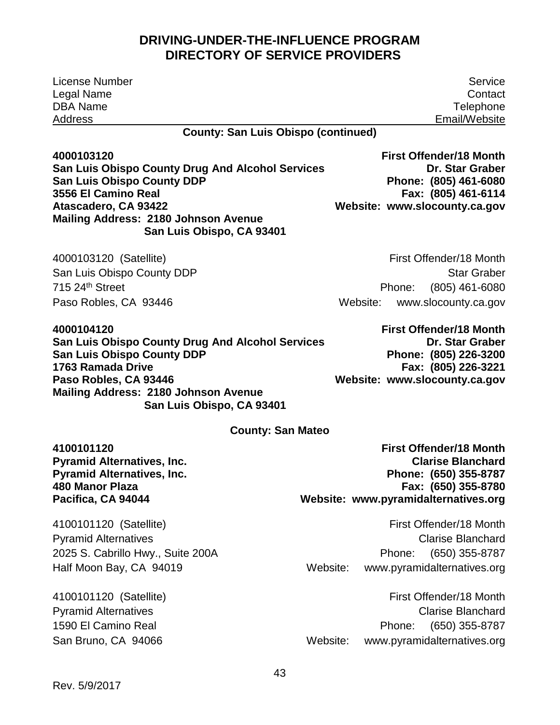License Number Legal Name DBA Name Address

Service **Contact Telephone** Email/Website

#### **County: San Luis Obispo (continued)**

 **Atascadero, CA 93422 Website: [www.slocounty.ca.gov](http://www.slocounty.ca.gov/)  4000103120 First Offender/18 Month San Luis Obispo County Drug And Alcohol Services Dr. Star Graber County Dr. Star Graber San Luis Obispo County DDP**<br>3556 El Camino Real **Mailing Address: 2180 Johnson Avenue San Luis Obispo, CA 93401** 

 4000103120 (Satellite) First Offender/18 Month 715 24th Street

Website: San Luis Obispo County DDP **Star Graber** Star Graber Phone: (805) 461-6080 Paso Robles, CA 93446 Website: www.slocounty.ca.gov

 **Paso Robles, CA 93446 Website: [www.slocounty.ca.gov](http://www.slocounty.ca.gov/)  4000104120 First Offender/18 Month**  San Luis Obispo County Drug And Alcohol Services **Dr. Star Graber** Dr. Star Graber **San Luis Obispo County DDP**<br>1763 Ramada Drive **Mailing Address: 2180 Johnson Avenue San Luis Obispo, CA 93401** 

Phone: (805) 461-6080

**3556 El Camino Real Fax: (805) 461-6114** 

Phone: (805) 226-3200 **1763 Ramada Drive Fax: (805) 226-3221** 

#### **County: San Mateo**

**Pyramid Alternatives, Inc. Pyramid Alternatives, Inc.<br>480 Manor Plaza** 

Phone: (650) 355-8787  **Pacifica, CA 94044 Website: [www.pyramidalternatives.org](http://www.pyramidalternatives.org/)  4100101120 First Offender/18 Month 480 Manor Plaza Fax: (650) 355-8780** 

 4100101120 (Satellite) First Offender/18 Month Phone: Website: Pyramid Alternatives **Clarise Blanchard** 2025 S. Cabrillo Hwy., Suite 200A Phone: (650) 355-8787 Half Moon Bay, CA 94019 Mebsite: www.pyramidalternatives.org

 4100101120 (Satellite) First Offender/18 Month Phone: Website: Pyramid Alternatives **Clarise Blanchard** 1590 El Camino Real Phone: (650) 355-8787 www.pyramidalternatives.org

San Bruno, CA 94066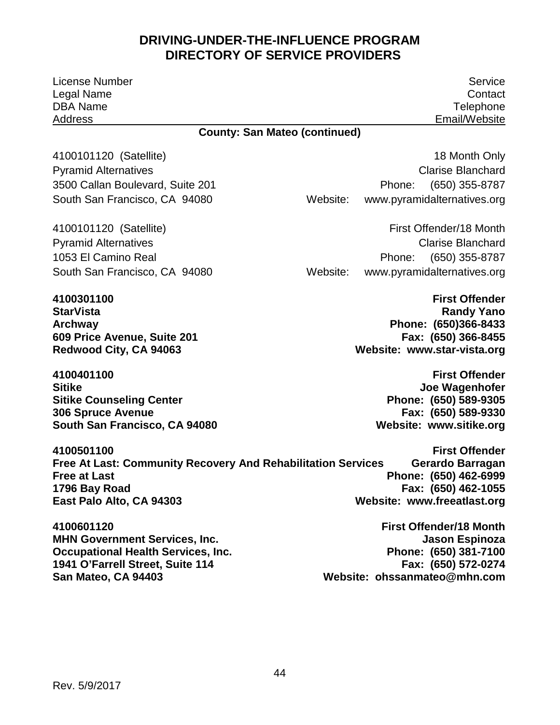License Number Service Legal Name Contact DBA Name Telephone Address Email/Website

#### **County: San Mateo (continued)**

 **Redwood City, CA 94063 Website: [www.star-vista.org](http://www.star-vista.org/)  4100301100 First Offender** 

**4100401100 First Offender Sitike Sitike Sitike Account of the Sitike Sitike Account of the Sitike Account of the Sitike Account of the Sitike Account of the Sitike Account of the Sitike Account of the Sitike Account of the Sitike Account of the Si Sitike Counseling Center<br>306 Spruce Avenue South San Francisco, CA 94080** 

 4100101120 (Satellite) 18 Month Only Phone: Website: Pyramid Alternatives **Clarise Blanchard** 3500 Callan Boulevard, Suite 201 Phone: (650) 355-8787 South San Francisco, CA 94080 Website: www.pyramidalternatives.org

 4100101120 (Satellite) First Offender/18 Month Phone: Website: Pyramid Alternatives **Clarise Blanchard** 1053 El Camino Real Phone: (650) 355-8787 South San Francisco, CA 94080 Website: www.pyramidalternatives.org

 **Archway Phone: (650)366-8433 StarVista Randy Yano 609 Price Avenue, Suite 201 Fax: (650) 366-8455** 

> Phone: (650) 589-9305 **306 Spruce Avenue Fax: (650) 589-9330**

 **Free at Last Phone: (650) 462-6999 East Palo Alto, CA 94303 Website: [www.freeatlast.org](http://www.freeatlast.org/)  4100501100 First Offender Free At Last: Community Recovery And Rehabilitation Services 1796 Bay Road Fax: (650) 462-1055** 

**4100601120 First Offender/18 Month MHN Government Services, Inc.** And the state of the state of the state of the state of the state of the state of the state of the state of the state of the state of the state of the state of the state of the state of the **Occupational Health Services, Inc. 1941 O'Farrell Street, Suite 114** 

Phone: (650) 381-7100<br>**Fax: (650) 572-0274 San Mateo, CA 94403 Website: [ohssanmateo@mhn.com](mailto:ohssanmateo@mhn.com)**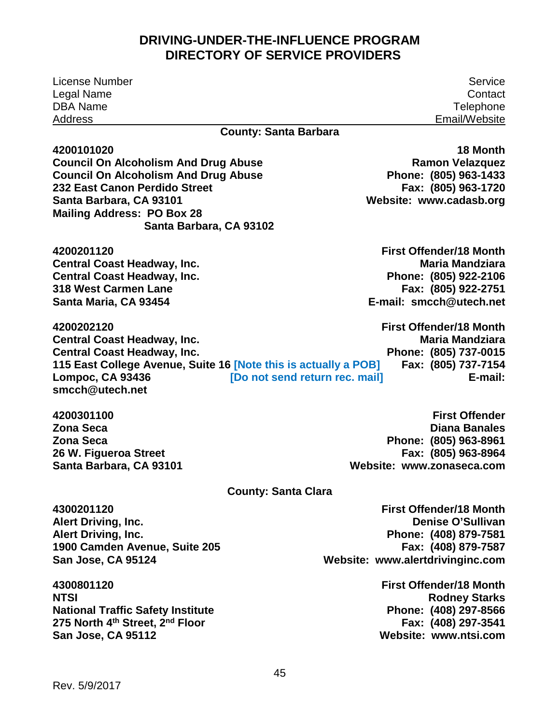License Number Service Legal Name Contact DBA Name Telephone Address Email/Website

Phone: (805) 963-1433<br>**Fax: (805) 963-1720** 

#### **County: Santa Barbara**

**4200101020 18 Month** 

 **Mailing Address: PO Box 28 Santa Barbara, CA 93101 Website: [www.cadasb.org](http://www.cadasb.org/)  Council On Alcoholism And Drug Abuse Council Council On Alcoholism And Drug Abuse Council Council Ramon Velazquez Council On Alcoholism And Drug Abuse 232 East Canon Perdido Street Santa Barbara, CA 93102** 

**4200201120 First Offender/18 Month Central Coast Headway, Inc. 318 West Carmen Lane Santa Maria, CA 93454** 

Phone: (805) 922-2106<br>**Fax: (805) 922-2751** E-mail: smcch@utech.net **Central Coast Headway, Inc.** Maria Mandziara **Maria Mandziara Central Coast Headway, Inc.** 

**Lompoc, CA 93436** Phone: (805) 737-0015<br>**Fax: (805) 737-7154** E-mail: **4200202120 First Offender/18 Month Central Coast Headway, Inc. Central Coast Headway, Inc. 115 East College Avenue, Suite 16 [Note this is actually a POB] [Lompoc, CA 93436](mailto:smcch@utech.net)** [Do not send return rec. mail]<br>smcch@utech.net

 **Zona Seca Phone: (805) 963-8961 Santa Barbara, CA 93101 Website: [www.zonaseca.com](http://www.zonaseca.com/)  4200301100 First Offender Zona Seca Diana Banales 26 W. Figueroa Street Fax: (805) 963-8964** 

#### **County: Santa Clara**

 **San Jose, CA 95124 Website: [www.alertdrivinginc.com](http://www.alertdrivinginc.com/)  4300201120 First Offender/18 Month** 

 **275 North 4th Street, 2nd Floor Fax: (408) 297-3541 4300801120 First Offender/18 Month National Traffic Safety Institute Phone: (408) 297-8566 San Jose, CA 95112 Website: [www.ntsi.com](http://www.ntsi.com/)** 

 **Alert Driving, Inc. Phone: (408) 879-7581 Alert Driving, Inc. Denise O'Sullivan 1900 Camden Avenue, Suite 205 Fax: (408) 879-7587** 

**Rodney Starks**<br>**Phone: (408) 297-8566**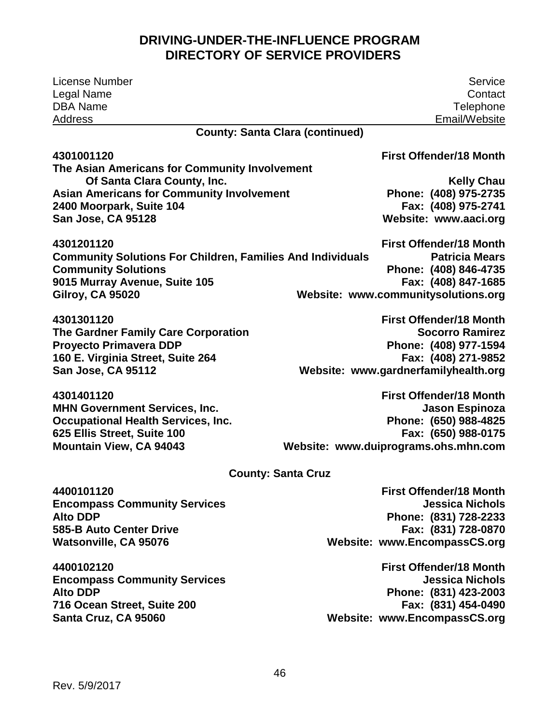| <b>License Number</b>                                             | Service                                      |  |  |
|-------------------------------------------------------------------|----------------------------------------------|--|--|
| Legal Name                                                        | Contact                                      |  |  |
| <b>DBA Name</b>                                                   | Telephone                                    |  |  |
| <b>Address</b>                                                    | Email/Website                                |  |  |
| <b>County: Santa Clara (continued)</b>                            |                                              |  |  |
| 4301001120                                                        | <b>First Offender/18 Month</b>               |  |  |
| The Asian Americans for Community Involvement                     |                                              |  |  |
| Of Santa Clara County, Inc.                                       | <b>Kelly Chau</b>                            |  |  |
| <b>Asian Americans for Community Involvement</b>                  | Phone: (408) 975-2735<br>Fax: (408) 975-2741 |  |  |
| 2400 Moorpark, Suite 104<br>San Jose, CA 95128                    | Website: www.aaci.org                        |  |  |
|                                                                   |                                              |  |  |
| 4301201120                                                        | <b>First Offender/18 Month</b>               |  |  |
| <b>Community Solutions For Children, Families And Individuals</b> | <b>Patricia Mears</b>                        |  |  |
| <b>Community Solutions</b>                                        | Phone: (408) 846-4735                        |  |  |
| 9015 Murray Avenue, Suite 105                                     | Fax: (408) 847-1685                          |  |  |
| <b>Gilroy, CA 95020</b>                                           | Website: www.communitysolutions.org          |  |  |
| 4301301120                                                        | <b>First Offender/18 Month</b>               |  |  |
| The Gardner Family Care Corporation                               | <b>Socorro Ramirez</b>                       |  |  |
| <b>Proyecto Primavera DDP</b>                                     | Phone: (408) 977-1594                        |  |  |
| 160 E. Virginia Street, Suite 264                                 | Fax: (408) 271-9852                          |  |  |
| San Jose, CA 95112                                                | Website: www.gardnerfamilyhealth.org         |  |  |
| 4301401120                                                        | <b>First Offender/18 Month</b>               |  |  |
| <b>MHN Government Services, Inc.</b>                              | Jason Espinoza                               |  |  |
| <b>Occupational Health Services, Inc.</b>                         | Phone: (650) 988-4825                        |  |  |
| 625 Ellis Street, Suite 100                                       | Fax: (650) 988-0175                          |  |  |
| <b>Mountain View, CA 94043</b>                                    | Website: www.duiprograms.ohs.mhn.com         |  |  |
| <b>County: Santa Cruz</b>                                         |                                              |  |  |
| 4400101120                                                        | <b>First Offender/18 Month</b>               |  |  |
| <b>Encompass Community Services</b>                               | <b>Jessica Nichols</b>                       |  |  |
| <b>Alto DDP</b>                                                   | Phone: (831) 728-2233                        |  |  |
| <b>585-B Auto Center Drive</b>                                    | Fax: (831) 728-0870                          |  |  |
| <b>Watsonville, CA 95076</b>                                      | Website: www.EncompassCS.org                 |  |  |
| 4400102120                                                        | <b>First Offender/18 Month</b>               |  |  |
| <b>Encompass Community Services</b>                               | <b>Jessica Nichols</b>                       |  |  |
| <b>Alto DDP</b>                                                   | Phone: (831) 423-2003                        |  |  |
| 716 Ocean Street, Suite 200                                       | Fax: (831) 454-0490                          |  |  |
| Santa Cruz, CA 95060                                              | Website: www.EncompassCS.org                 |  |  |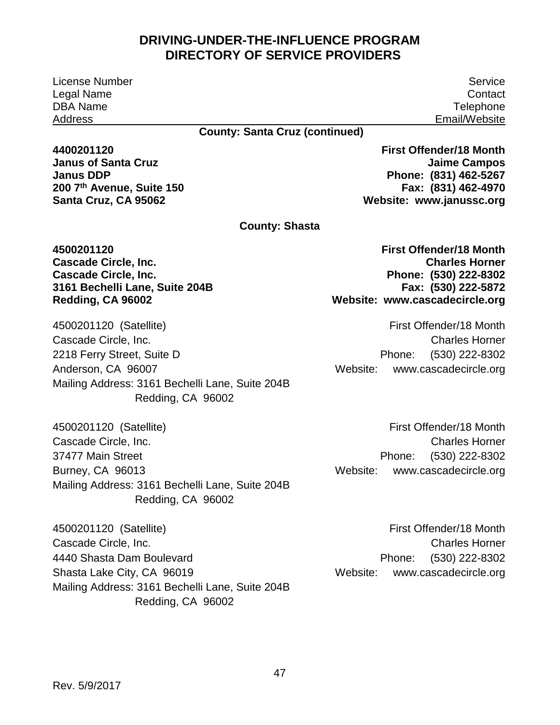License Number Legal Name DBA Name Address

Service **Contact Telephone** Email/Website

#### **County: Santa Cruz (continued)**

**4400201120 Janus of Santa Cruz Janus DDP 200 7th Avenue, Suite 150 Santa Cruz, CA 95062**

**First Offender/18 Month Jaime Campos Phone: (831) 462-5267 Fax: (831) 462-4970 Website: [www.janussc.org](http://www.janussc.org/)**

**County: Shasta** 

**4500201120 Cascade Circle, Inc. Cascade Circle, Inc. 3161 Bechelli Lane, Suite 204B Redding, CA 96002**

 4500201120 (Satellite) 2218 Ferry Street, Suite D<br>Anderson, CA 96007 Redding, CA 96002 Cascade Circle, Inc. Mailing Address: 3161 Bechelli Lane, Suite 204B

 4500201120 (Satellite) Burney, CA 96013 Redding, CA 96002 Cascade Circle, Inc. 37477 Main Street Mailing Address: 3161 Bechelli Lane, Suite 204B

 4500201120 (Satellite) 4440 Shasta Dam Boulevard 4440 Shasta Dam Boulevard<br>Shasta Lake City, CA 96019 Redding, CA 96002 Cascade Circle, Inc. Mailing Address: 3161 Bechelli Lane, Suite 204B  **Website: [www.cascadecircle.org](http://www.cascadecircle.org/) First Offender/18 Month Charles Horner Phone: (530) 222-8302 Fax: (530) 222-5872**

Phone: First Offender/18 Month Charles Horner (530) 222-8302 Website: [www.cascadecircle.org](http://www.cascadecircle.org/)

Phone: First Offender/18 Month Charles Horner (530) 222-8302 Website: [www.cascadecircle.org](http://www.cascadecircle.org/)

Phone: First Offender/18 Month Charles Horner (530) 222-8302 Website: [www.cascadecircle.org](http://www.cascadecircle.org/)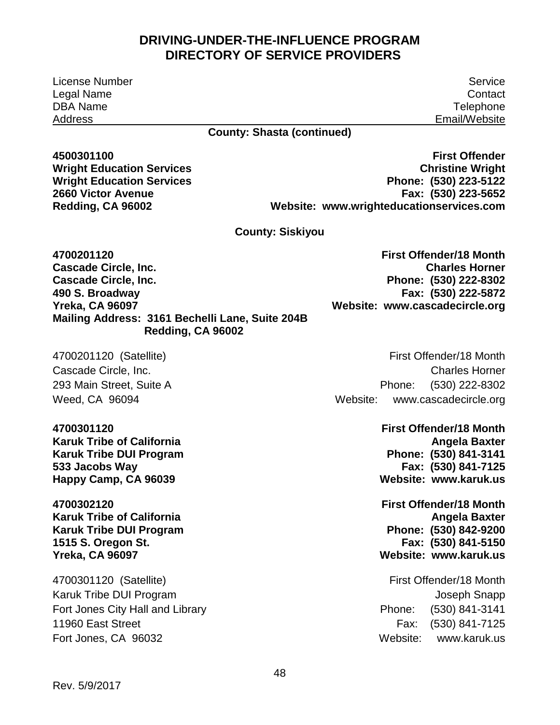License Number Service Legal Name Contact DBA Name Telephone Address Email/Website

#### **County: Shasta (continued)**

**Wright Education Services Wright Education Services 2660 Victor Avenue Redding, CA 96002** 

 **Phone: (530) 223-5122 Website: [www.wrighteducationservices.com](http://www.wrighteducationservices.com/)  4500301100 First Offender Christine Wright Fax: (530) 223-5652** 

**County: Siskiyou** 

 **Mailing Address: 3161 Bechelli Lane, Suite 204B 4700201120 Cascade Circle, Inc. Cascade Circle, Inc. 490 S. Broadway Yreka, CA 96097 Redding, CA 96002** 

Weed, CA 96094

**Karuk Tribe of California** Angela Baxter **Angela Baxter Angela Baxter Angela Baxter Karuk Tribe DUI Program**<br>533 Jacobs Way **Happy Camp, CA 96039** 

**Karuk Tribe of California** Angela Baxter **Angela Baxter in the Angela Baxter in the Angela Baxter Karuk Tribe DUI Program 1515 S. Oregon St. Fax: (530) 841-5150 Yreka, CA 96097 Website: [www.karuk.us](http://www.karuk.us/)** 

 4700301120 (Satellite) First Offender/18 Month Fort Jones, CA 96032 Metal and Controllering the Metal Website: www.karuk.us Karuk Tribe DUI Program Joseph Snapp Fort Jones City Hall and Library **Phone:** (530) 841-3141 11960 East Street **Fax:** (530) 841-7125

 **Phone: (530) 222-8302 Website: [www.cascadecircle.org](http://www.cascadecircle.org/)  First Offender/18 Month Charles Horner Fax: (530) 222-5872** 

 4700201120 (Satellite) First Offender/18 Month Phone: Cascade Circle, Inc. Charles Horner 293 Main Street, Suite A Phone: (530) 222-8302 Website: www.cascadecircle.org

Phone: (530) 841-3141 Website: www.karuk.us **4700301120 First Offender/18 Month 533 Jacobs Way Fax: (530) 841-7125** 

Phone: (530) 842-9200 **4700302120 First Offender/18 Month** 

> Phone: Website: www.karuk.us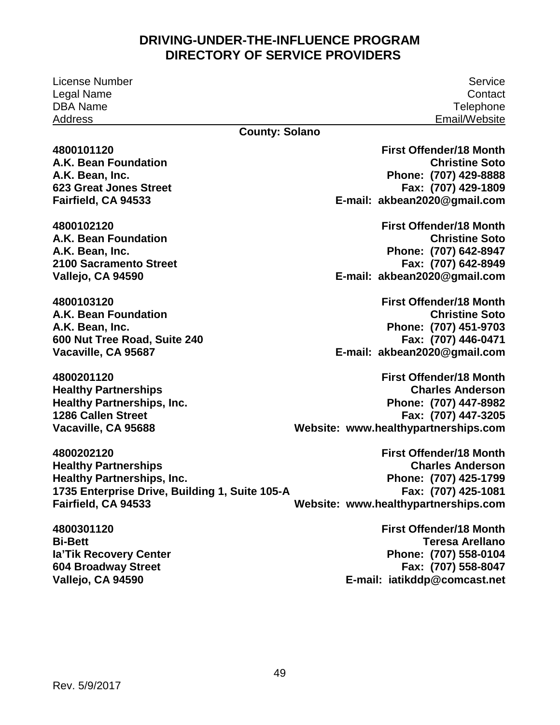License Number Service Legal Name Contact DBA Name Telephone Address Email/Website

#### **County: Solano**

**4800101120 A.K. Bean Foundation A.K. Bean, Inc. 623 Great Jones Street Fairfield, CA 94533**

**4800102120 A.K. Bean Foundation A.K. Bean, Inc. 2100 Sacramento Street Vallejo, CA 94590**

**4800103120 A.K. Bean Foundation A.K. Bean, Inc. 600 Nut Tree Road, Suite 240 Vacaville, CA 95687**

**4800201120 Healthy Partnerships Healthy Partnerships, Inc. 1286 Callen Street Vacaville, CA 95688**

**4800202120 Healthy Partnerships Healthy Partnerships, Inc. 1735 Enterprise Drive, Building 1, Suite 105-A Fairfield, CA 94533**

**4800301120 Bi-Bett Ia'Tik Recovery Center 604 Broadway Street Vallejo, CA 94590**

 **Christine Soto Phone: (707) 429-8888 E-mail: [akbean2020@gmail.com](mailto:akbean2020@gmail.com) First Offender/18 Month Fax: (707) 429-1809**

 **Christine Soto Phone: (707) 642-8947 First Offender/18 Month Fax: (707) 642-8949 E-mail: [akbean2020@gmail.com](mailto:akbean2020@gmail.com)**

 **Christine Soto Phone: (707) 451-9703 First Offender/18 Month Fax: (707) 446-0471 E-mail: [akbean2020@gmail.com](mailto:akbean2020@gmail.com)**

 **Phone: (707) 447-8982 Website: [www.healthypartnerships.com](http://www.healthypartnerships.com/) First Offender/18 Month Charles Anderson Fax: (707) 447-3205**

 **Phone: (707) 425-1799 Website: [www.healthypartnerships.com](http://www.healthypartnerships.com/) First Offender/18 Month Charles Anderson Fax: (707) 425-1081**

> **Phone: (707) 558-0104 E-mail: [iatikddp@comcast.net](mailto:iatikddp@comcast.net) First Offender/18 Month Teresa Arellano Fax: (707) 558-8047**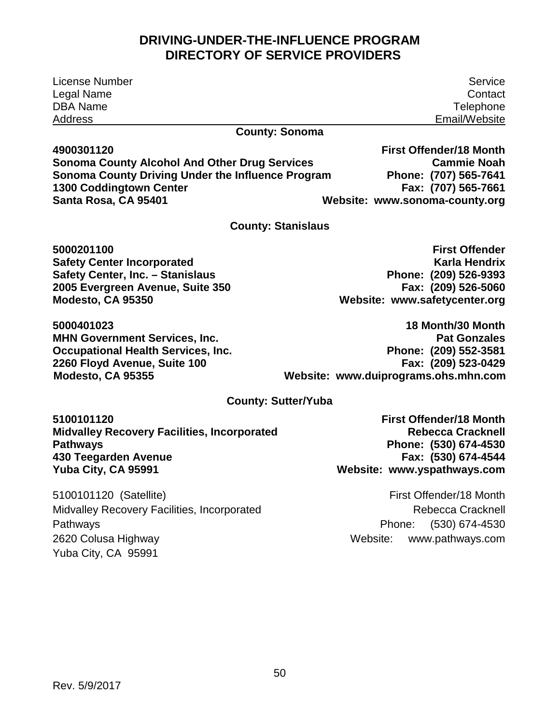| License Number                                                                    | Service                                                                  |  |
|-----------------------------------------------------------------------------------|--------------------------------------------------------------------------|--|
| Legal Name                                                                        | Contact                                                                  |  |
| <b>DBA Name</b>                                                                   | Telephone                                                                |  |
| <b>Address</b>                                                                    | Email/Website                                                            |  |
| <b>County: Sonoma</b>                                                             |                                                                          |  |
| 4900301120                                                                        | <b>First Offender/18 Month</b>                                           |  |
| <b>Sonoma County Alcohol And Other Drug Services</b>                              | <b>Cammie Noah</b>                                                       |  |
| Sonoma County Driving Under the Influence Program                                 | Phone: (707) 565-7641                                                    |  |
| 1300 Coddingtown Center                                                           | Fax: (707) 565-7661                                                      |  |
| Santa Rosa, CA 95401                                                              | Website: www.sonoma-county.org                                           |  |
| <b>County: Stanislaus</b>                                                         |                                                                          |  |
| 5000201100                                                                        | <b>First Offender</b>                                                    |  |
| <b>Safety Center Incorporated</b>                                                 | <b>Karla Hendrix</b>                                                     |  |
| Safety Center, Inc. - Stanislaus                                                  | Phone: (209) 526-9393                                                    |  |
| 2005 Evergreen Avenue, Suite 350                                                  | Fax: (209) 526-5060                                                      |  |
| Modesto, CA 95350                                                                 | Website: www.safetycenter.org                                            |  |
| 5000401023                                                                        | 18 Month/30 Month                                                        |  |
| <b>MHN Government Services, Inc.</b>                                              | <b>Pat Gonzales</b>                                                      |  |
| <b>Occupational Health Services, Inc.</b>                                         | Phone: (209) 552-3581                                                    |  |
| 2260 Floyd Avenue, Suite 100                                                      | Fax: (209) 523-0429                                                      |  |
| Modesto, CA 95355                                                                 | Website: www.duiprograms.ohs.mhn.com                                     |  |
| <b>County: Sutter/Yuba</b>                                                        |                                                                          |  |
| 5100101120                                                                        | <b>First Offender/18 Month</b>                                           |  |
| <b>Midvalley Recovery Facilities, Incorporated</b>                                | <b>Rebecca Cracknell</b>                                                 |  |
| <b>Pathways</b>                                                                   | Phone: (530) 674-4530                                                    |  |
| 430 Teegarden Avenue                                                              | Fax: (530) 674-4544                                                      |  |
| Yuba City, CA 95991                                                               | Website: www.yspathways.com                                              |  |
| 5100101120 (Satellite)<br>Midvalley Recovery Facilities, Incorporated<br>Pathways | First Offender/18 Month<br>Rebecca Cracknell<br>(530) 674-4530<br>Phone: |  |

Yuba City, CA 95991

2620 Colusa Highway Network and Mebsite: www.pathways.com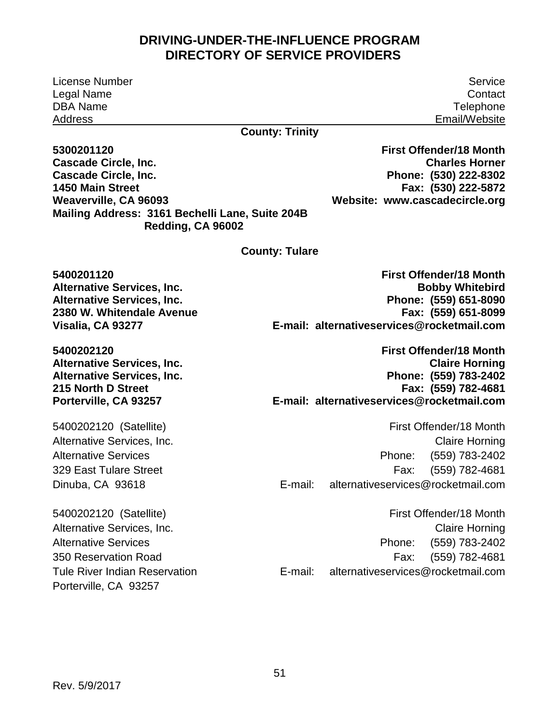License Number Service Legal Name Contact DBA Name Telephone Address **Email/Website** 

#### **County: Trinity**

 **Mailing Address: 3161 Bechelli Lane, Suite 204B 5300201120 Cascade Circle, Inc. Cascade Circle, Inc. 1450 Main Street Weaverville, CA 96093 Redding, CA 96002** 

 **Phone: (530) 222-8302 Website: [www.cascadecircle.org](http://www.cascadecircle.org/)  First Offender/18 Month Charles Horner Fax: (530) 222-5872** 

**County: Tulare** 

**Alternative Services, Inc.** 

5400202120 (Satellite) Porterville, CA 93257

 **Alternative Services, Inc. Phone: (559) 651-8090 Visalia, CA 93277 E-mail: [alternativeservices@rocketmail.com](mailto:alternativeservices@rocketmail.com)  5400201120 First Offender/18 Month 2380 W. Whitendale Avenue Fax: (559) 651-8099** 

 **Alternative Services, Inc. Phone: (559) 783-2402 Porterville, CA 93257 E-mail: [alternativeservices@rocketmail.com](mailto:alternativeservices@rocketmail.com)  5400202120 First Offender/18 Month Alternative Services, Inc. Claire Horning 215 North D Street Fax: (559) 782-4681** 

 5400202120 (Satellite) First Offender/18 Month Phone: Alternative Services, Inc. **Claire Horning** Alternative Services **Phone:** (559) 783-2402 329 East Tulare Street Fax: (559) 782-4681 Dinuba, CA 93618 E-mail: [alternativeservices@rocketmail.com](mailto:alternativeservices@rocketmail.com) 

Phone: E-mail: First Offender/18 Month Alternative Services, Inc. **Claire Horning** Alternative Services **Phone:** (559) 783-2402 350 Reservation Road Fax: (559) 782-4681 Tule River Indian Reservation E-mail: alternativeservices@rocketmail.com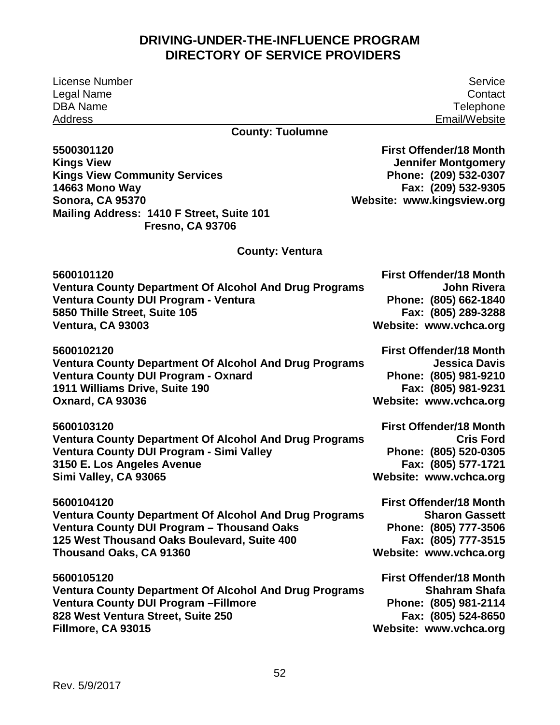License Number Legal Name DBA Name Address

Service **Contact Telephone** Email/Website

## **County: Tuolumne**

| 5500301120                                                    | <b>First Offender/18 Month</b> |
|---------------------------------------------------------------|--------------------------------|
| <b>Kings View</b>                                             | <b>Jennifer Montgomery</b>     |
| <b>Kings View Community Services</b>                          | Phone: (209) 532-0307          |
| <b>14663 Mono Way</b>                                         | Fax: (209) 532-9305            |
| <b>Sonora, CA 95370</b>                                       | Website: www.kingsview.org     |
| Mailing Address: 1410 F Street, Suite 101                     |                                |
| <b>Fresno, CA 93706</b>                                       |                                |
| <b>County: Ventura</b>                                        |                                |
| 5600101120                                                    | <b>First Offender/18 Month</b> |
| <b>Ventura County Department Of Alcohol And Drug Programs</b> | John Rivera                    |
| Ventura County DUI Program - Ventura                          | Phone: (805) 662-1840          |
| 5850 Thille Street, Suite 105                                 | Fax: (805) 289-3288            |
| Ventura, CA 93003                                             | Website: www.vchca.org         |
| 5600102120                                                    | <b>First Offender/18 Month</b> |
| <b>Ventura County Department Of Alcohol And Drug Programs</b> | <b>Jessica Davis</b>           |
| <b>Ventura County DUI Program - Oxnard</b>                    | Phone: (805) 981-9210          |
| 1911 Williams Drive, Suite 190                                | Fax: (805) 981-9231            |
| <b>Oxnard, CA 93036</b>                                       | Website: www.vchca.org         |
| 5600103120                                                    | <b>First Offender/18 Month</b> |
| <b>Ventura County Department Of Alcohol And Drug Programs</b> | <b>Cris Ford</b>               |
| Ventura County DUI Program - Simi Valley                      | Phone: (805) 520-0305          |
| 3150 E. Los Angeles Avenue                                    | Fax: (805) 577-1721            |
| Simi Valley, CA 93065                                         | Website: www.vchca.org         |
| 5600104120                                                    | <b>First Offender/18 Month</b> |
| <b>Ventura County Department Of Alcohol And Drug Programs</b> | <b>Sharon Gassett</b>          |
| Ventura County DUI Program - Thousand Oaks                    | Phone: (805) 777-3506          |
| 125 West Thousand Oaks Boulevard, Suite 400                   | Fax: (805) 777-3515            |
| Thousand Oaks, CA 91360                                       | Website: www.vchca.org         |
| 5600105120                                                    | <b>First Offender/18 Month</b> |
| <b>Ventura County Department Of Alcohol And Drug Programs</b> | <b>Shahram Shafa</b>           |
| <b>Ventura County DUI Program - Fillmore</b>                  | Phone: (805) 981-2114          |
| 828 West Ventura Street, Suite 250                            | Fax: (805) 524-8650            |
| Fillmore, CA 93015                                            | Website: www.vchca.org         |